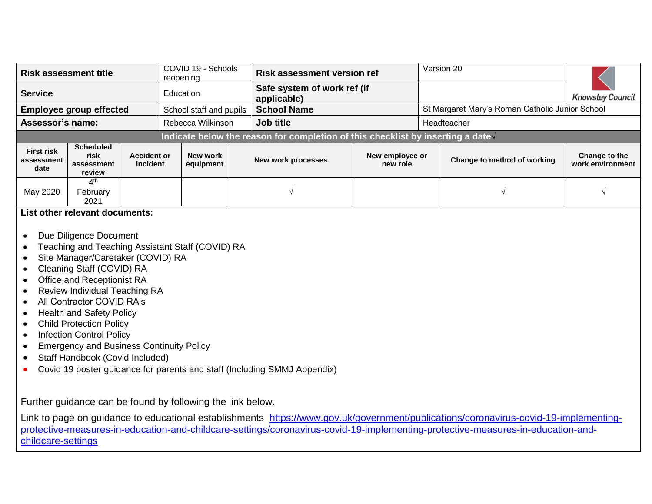| <b>Risk assessment title</b>            |                                                  |                                | reopening | COVID 19 - Schools      | <b>Risk assessment version ref</b>                                               |                             | Version 20                                      |                                   |  |
|-----------------------------------------|--------------------------------------------------|--------------------------------|-----------|-------------------------|----------------------------------------------------------------------------------|-----------------------------|-------------------------------------------------|-----------------------------------|--|
| <b>Service</b>                          |                                                  |                                | Education |                         | Safe system of work ref (if<br>applicable)                                       |                             |                                                 | <b>Knowsley Council</b>           |  |
|                                         | <b>Employee group effected</b>                   |                                |           | School staff and pupils | <b>School Name</b>                                                               |                             | St Margaret Mary's Roman Catholic Junior School |                                   |  |
| <b>Assessor's name:</b>                 |                                                  |                                |           | Rebecca Wilkinson       | Job title                                                                        |                             | Headteacher                                     |                                   |  |
|                                         |                                                  |                                |           |                         | Indicate below the reason for completion of this checklist by inserting a date V |                             |                                                 |                                   |  |
| <b>First risk</b><br>assessment<br>date | <b>Scheduled</b><br>risk<br>assessment<br>review | <b>Accident or</b><br>incident |           | New work<br>equipment   | New work processes                                                               | New employee or<br>new role | Change to method of working                     | Change to the<br>work environment |  |
| May 2020                                | 4 <sup>th</sup><br>February<br>2021              |                                |           |                         |                                                                                  |                             |                                                 |                                   |  |

## **List other relevant documents:**

- Due Diligence Document
- Teaching and Teaching Assistant Staff (COVID) RA
- Site Manager/Caretaker (COVID) RA
- Cleaning Staff (COVID) RA
- Office and Receptionist RA
- Review Individual Teaching RA
- All Contractor COVID RA's
- Health and Safety Policy
- Child Protection Policy
- Infection Control Policy
- Emergency and Business Continuity Policy
- Staff Handbook (Covid Included)
- Covid 19 poster guidance for parents and staff (Including SMMJ Appendix)

Further guidance can be found by following the link below.

Link to page on guidance to educational establishments [https://www.gov.uk/government/publications/coronavirus-covid-19-implementing](https://www.gov.uk/government/publications/coronavirus-covid-19-implementing-protective-measures-in-education-and-childcare-settings/coronavirus-covid-19-implementing-protective-measures-in-education-and-childcare-settings)[protective-measures-in-education-and-childcare-settings/coronavirus-covid-19-implementing-protective-measures-in-education-and](https://www.gov.uk/government/publications/coronavirus-covid-19-implementing-protective-measures-in-education-and-childcare-settings/coronavirus-covid-19-implementing-protective-measures-in-education-and-childcare-settings)[childcare-settings](https://www.gov.uk/government/publications/coronavirus-covid-19-implementing-protective-measures-in-education-and-childcare-settings/coronavirus-covid-19-implementing-protective-measures-in-education-and-childcare-settings)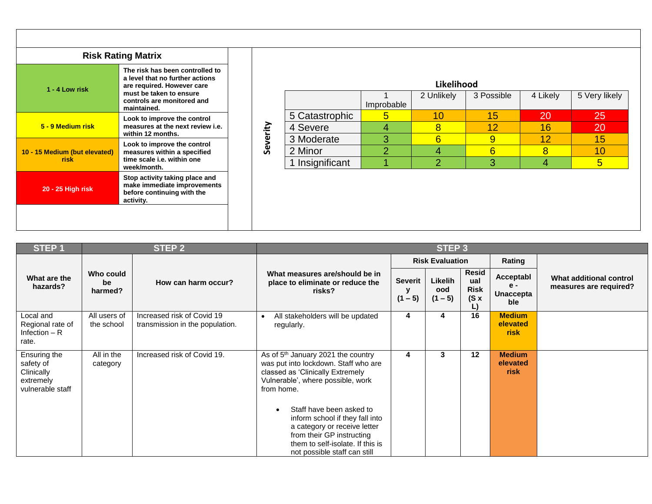|                                       | <b>Risk Rating Matrix</b>                                                                                                                                                |
|---------------------------------------|--------------------------------------------------------------------------------------------------------------------------------------------------------------------------|
| $1 - 4$ Low risk                      | The risk has been controlled to<br>a level that no further actions<br>are required. However care<br>must be taken to ensure<br>controls are monitored and<br>maintained. |
| 5 - 9 Medium risk                     | Look to improve the control<br>measures at the next review i.e.<br>within 12 months.                                                                                     |
| 10 - 15 Medium (but elevated)<br>risk | Look to improve the control<br>measures within a specified<br>time scale i.e. within one<br>week/month.                                                                  |
| 20 - 25 High risk                     | Stop activity taking place and<br>make immediate improvements<br>before continuing with the<br>activity.                                                                 |

|                 |                | 2 Unlikely | 3 Possible      | 4 Likely | 5 Very likely |
|-----------------|----------------|------------|-----------------|----------|---------------|
|                 | Improbable     |            |                 |          |               |
| 5 Catastrophic  | 5              | 10         | 15              | 20       | 25            |
| 4 Severe        | 4              | 8          | $\overline{12}$ | 16       | 20            |
| 3 Moderate      | 3              | 6          | 9               | 12       | 15            |
| 2 Minor         | $\overline{2}$ |            | 6               | 8        | 10            |
| 1 Insignificant |                | ာ          | 3               | 4        | 5             |

| <b>STEP1</b>                                                             |                            | STEP <sub>2</sub>                                             |                                                                                                                                                                                              |                                  | STEP <sub>3</sub>           |                                                         |                                               |                                                   |
|--------------------------------------------------------------------------|----------------------------|---------------------------------------------------------------|----------------------------------------------------------------------------------------------------------------------------------------------------------------------------------------------|----------------------------------|-----------------------------|---------------------------------------------------------|-----------------------------------------------|---------------------------------------------------|
|                                                                          |                            |                                                               |                                                                                                                                                                                              |                                  | <b>Risk Evaluation</b>      |                                                         | Rating                                        |                                                   |
| What are the<br>hazards?                                                 | Who could<br>be<br>harmed? | How can harm occur?                                           | What measures are/should be in<br>place to eliminate or reduce the<br>risks?                                                                                                                 | <b>Severit</b><br>у<br>$(1 - 5)$ | Likelih<br>ood<br>$(1 - 5)$ | <b>Resid</b><br>ual<br><b>Risk</b><br>$(S \times$<br>L) | Acceptabl<br>$e -$<br><b>Unaccepta</b><br>ble | What additional control<br>measures are required? |
| Local and<br>Regional rate of<br>Infection $- R$<br>rate.                | All users of<br>the school | Increased risk of Covid 19<br>transmission in the population. | All stakeholders will be updated<br>$\bullet$<br>regularly.                                                                                                                                  | 4                                | 4                           | 16                                                      | <b>Medium</b><br>elevated<br><b>risk</b>      |                                                   |
| Ensuring the<br>safety of<br>Clinically<br>extremely<br>vulnerable staff | All in the<br>category     | Increased risk of Covid 19.                                   | As of 5 <sup>th</sup> January 2021 the country<br>was put into lockdown. Staff who are<br>classed as 'Clinically Extremely<br>Vulnerable', where possible, work<br>from home.                | 4                                | 3                           | 12                                                      | <b>Medium</b><br>elevated<br><b>risk</b>      |                                                   |
|                                                                          |                            |                                                               | Staff have been asked to<br>inform school if they fall into<br>a category or receive letter<br>from their GP instructing<br>them to self-isolate. If this is<br>not possible staff can still |                                  |                             |                                                         |                                               |                                                   |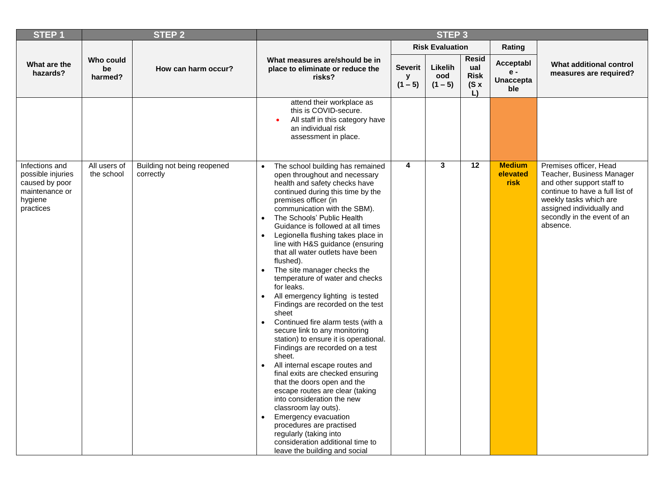| <b>STEP1</b>                                                                                    |                            | <b>STEP 2</b>                            |                                                                                                                                                                                                                                                                                                                                                                                                                                                                                                                                                                                                                                                                                                                                                                                                                                                                                                                                                                                                                                                                                                                                                             |                                  | STEP <sub>3</sub>           |                                                         |                                               |                                                                                                                                                                                                                        |
|-------------------------------------------------------------------------------------------------|----------------------------|------------------------------------------|-------------------------------------------------------------------------------------------------------------------------------------------------------------------------------------------------------------------------------------------------------------------------------------------------------------------------------------------------------------------------------------------------------------------------------------------------------------------------------------------------------------------------------------------------------------------------------------------------------------------------------------------------------------------------------------------------------------------------------------------------------------------------------------------------------------------------------------------------------------------------------------------------------------------------------------------------------------------------------------------------------------------------------------------------------------------------------------------------------------------------------------------------------------|----------------------------------|-----------------------------|---------------------------------------------------------|-----------------------------------------------|------------------------------------------------------------------------------------------------------------------------------------------------------------------------------------------------------------------------|
|                                                                                                 |                            |                                          |                                                                                                                                                                                                                                                                                                                                                                                                                                                                                                                                                                                                                                                                                                                                                                                                                                                                                                                                                                                                                                                                                                                                                             |                                  | <b>Risk Evaluation</b>      |                                                         | Rating                                        |                                                                                                                                                                                                                        |
| What are the<br>hazards?                                                                        | Who could<br>be<br>harmed? | How can harm occur?                      | What measures are/should be in<br>place to eliminate or reduce the<br>risks?                                                                                                                                                                                                                                                                                                                                                                                                                                                                                                                                                                                                                                                                                                                                                                                                                                                                                                                                                                                                                                                                                | <b>Severit</b><br>y<br>$(1 - 5)$ | Likelih<br>ood<br>$(1 - 5)$ | <b>Resid</b><br>ual<br><b>Risk</b><br>$(S \times$<br>L) | Acceptabl<br>$e -$<br><b>Unaccepta</b><br>ble | What additional control<br>measures are required?                                                                                                                                                                      |
|                                                                                                 |                            |                                          | attend their workplace as<br>this is COVID-secure.<br>All staff in this category have<br>an individual risk<br>assessment in place.                                                                                                                                                                                                                                                                                                                                                                                                                                                                                                                                                                                                                                                                                                                                                                                                                                                                                                                                                                                                                         |                                  |                             |                                                         |                                               |                                                                                                                                                                                                                        |
| Infections and<br>possible injuries<br>caused by poor<br>maintenance or<br>hygiene<br>practices | All users of<br>the school | Building not being reopened<br>correctly | The school building has remained<br>$\bullet$<br>open throughout and necessary<br>health and safety checks have<br>continued during this time by the<br>premises officer (in<br>communication with the SBM).<br>The Schools' Public Health<br>$\bullet$<br>Guidance is followed at all times<br>Legionella flushing takes place in<br>line with H&S guidance (ensuring<br>that all water outlets have been<br>flushed).<br>The site manager checks the<br>$\bullet$<br>temperature of water and checks<br>for leaks.<br>All emergency lighting is tested<br>$\bullet$<br>Findings are recorded on the test<br>sheet<br>Continued fire alarm tests (with a<br>$\bullet$<br>secure link to any monitoring<br>station) to ensure it is operational.<br>Findings are recorded on a test<br>sheet.<br>All internal escape routes and<br>$\bullet$<br>final exits are checked ensuring<br>that the doors open and the<br>escape routes are clear (taking<br>into consideration the new<br>classroom lay outs).<br>Emergency evacuation<br>procedures are practised<br>regularly (taking into<br>consideration additional time to<br>leave the building and social | 4                                | 3                           | 12                                                      | <b>Medium</b><br>elevated<br><b>risk</b>      | Premises officer, Head<br>Teacher, Business Manager<br>and other support staff to<br>continue to have a full list of<br>weekly tasks which are<br>assigned individually and<br>secondly in the event of an<br>absence. |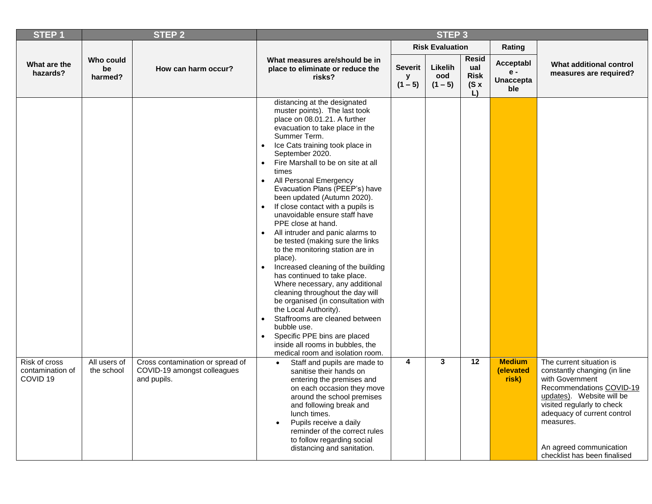| <b>STEP1</b>                                             |                            | <b>STEP 2</b>                                                                  |                                                                                                                                                                                                                                                                                                                                                                                                                                                                                                                                                                                                                                                                                                                                                                                                                                                                                                                                                                                                           |                                  | <b>STEP 3</b>               |                                                  |                                               |                                                                                                                                                                                                                                                                           |
|----------------------------------------------------------|----------------------------|--------------------------------------------------------------------------------|-----------------------------------------------------------------------------------------------------------------------------------------------------------------------------------------------------------------------------------------------------------------------------------------------------------------------------------------------------------------------------------------------------------------------------------------------------------------------------------------------------------------------------------------------------------------------------------------------------------------------------------------------------------------------------------------------------------------------------------------------------------------------------------------------------------------------------------------------------------------------------------------------------------------------------------------------------------------------------------------------------------|----------------------------------|-----------------------------|--------------------------------------------------|-----------------------------------------------|---------------------------------------------------------------------------------------------------------------------------------------------------------------------------------------------------------------------------------------------------------------------------|
|                                                          |                            |                                                                                |                                                                                                                                                                                                                                                                                                                                                                                                                                                                                                                                                                                                                                                                                                                                                                                                                                                                                                                                                                                                           |                                  | <b>Risk Evaluation</b>      |                                                  | Rating                                        |                                                                                                                                                                                                                                                                           |
| What are the<br>hazards?                                 | Who could<br>be<br>harmed? | How can harm occur?                                                            | What measures are/should be in<br>place to eliminate or reduce the<br>risks?                                                                                                                                                                                                                                                                                                                                                                                                                                                                                                                                                                                                                                                                                                                                                                                                                                                                                                                              | <b>Severit</b><br>у<br>$(1 - 5)$ | Likelih<br>ood<br>$(1 - 5)$ | <b>Resid</b><br>ual<br><b>Risk</b><br>(Sx)<br>L) | Acceptabl<br>$e -$<br><b>Unaccepta</b><br>ble | What additional control<br>measures are required?                                                                                                                                                                                                                         |
|                                                          |                            |                                                                                | distancing at the designated<br>muster points). The last took<br>place on 08.01.21. A further<br>evacuation to take place in the<br>Summer Term.<br>Ice Cats training took place in<br>$\bullet$<br>September 2020.<br>Fire Marshall to be on site at all<br>$\bullet$<br>times<br>All Personal Emergency<br>$\bullet$<br>Evacuation Plans (PEEP's) have<br>been updated (Autumn 2020).<br>If close contact with a pupils is<br>$\bullet$<br>unavoidable ensure staff have<br>PPE close at hand.<br>All intruder and panic alarms to<br>be tested (making sure the links<br>to the monitoring station are in<br>place).<br>Increased cleaning of the building<br>has continued to take place.<br>Where necessary, any additional<br>cleaning throughout the day will<br>be organised (in consultation with<br>the Local Authority).<br>Staffrooms are cleaned between<br>$\bullet$<br>bubble use.<br>Specific PPE bins are placed<br>inside all rooms in bubbles, the<br>medical room and isolation room. |                                  |                             |                                                  |                                               |                                                                                                                                                                                                                                                                           |
| Risk of cross<br>contamination of<br>COVID <sub>19</sub> | All users of<br>the school | Cross contamination or spread of<br>COVID-19 amongst colleagues<br>and pupils. | Staff and pupils are made to<br>$\bullet$<br>sanitise their hands on<br>entering the premises and<br>on each occasion they move<br>around the school premises<br>and following break and<br>lunch times.<br>Pupils receive a daily<br>$\bullet$<br>reminder of the correct rules<br>to follow regarding social<br>distancing and sanitation.                                                                                                                                                                                                                                                                                                                                                                                                                                                                                                                                                                                                                                                              | 4                                | 3                           | $\overline{12}$                                  | <b>Medium</b><br>(elevated<br>risk)           | The current situation is<br>constantly changing (in line<br>with Government<br>Recommendations COVID-19<br>updates). Website will be<br>visited regularly to check<br>adequacy of current control<br>measures.<br>An agreed communication<br>checklist has been finalised |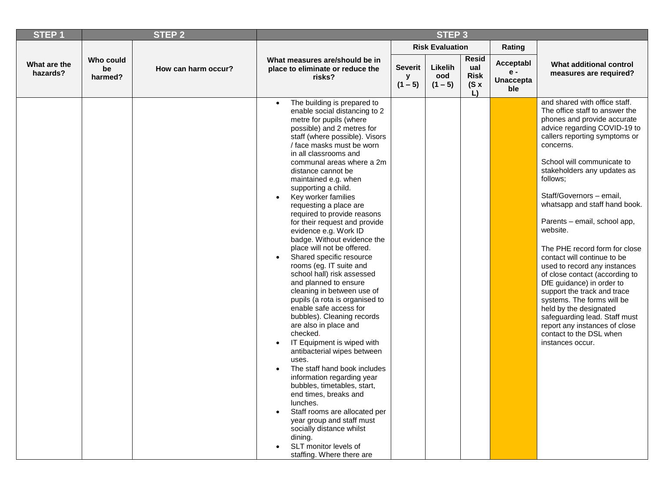| <b>Risk Evaluation</b><br>Rating<br><b>Resid</b><br>Who could<br>What measures are/should be in<br>Acceptabl<br>What are the<br>What additional control<br>Likelih<br>Severit<br>ual<br>How can harm occur?<br>be<br>place to eliminate or reduce the<br>e -<br>hazards?<br>measures are required?<br><b>Risk</b><br>ood<br>y<br>harmed?<br>risks?<br><b>Unaccepta</b><br>$(1 - 5)$<br>$(1 - 5)$<br>$(S \times$<br>ble<br>L)<br>and shared with office staff.<br>The building is prepared to<br>$\bullet$<br>The office staff to answer the<br>enable social distancing to 2<br>phones and provide accurate<br>metre for pupils (where<br>advice regarding COVID-19 to<br>possible) and 2 metres for<br>callers reporting symptoms or<br>staff (where possible). Visors<br>/ face masks must be worn<br>concerns.<br>in all classrooms and<br>School will communicate to<br>communal areas where a 2m<br>stakeholders any updates as<br>distance cannot be<br>follows;<br>maintained e.g. when<br>supporting a child.<br>Staff/Governors - email,<br>Key worker families<br>whatsapp and staff hand book.<br>requesting a place are<br>required to provide reasons<br>Parents - email, school app,<br>for their request and provide<br>website.<br>evidence e.g. Work ID<br>badge. Without evidence the<br>place will not be offered.<br>The PHE record form for close<br>Shared specific resource<br>contact will continue to be<br>$\bullet$<br>rooms (eg. IT suite and<br>used to record any instances<br>school hall) risk assessed<br>of close contact (according to<br>and planned to ensure<br>DfE guidance) in order to<br>cleaning in between use of<br>support the track and trace<br>pupils (a rota is organised to<br>systems. The forms will be<br>enable safe access for<br>held by the designated<br>bubbles). Cleaning records<br>safeguarding lead. Staff must<br>are also in place and<br>report any instances of close<br>checked.<br>contact to the DSL when<br>IT Equipment is wiped with<br>instances occur.<br>antibacterial wipes between<br>uses.<br>The staff hand book includes<br>information regarding year<br>bubbles, timetables, start,<br>end times, breaks and<br>lunches. | <b>STEP1</b> | <b>STEP 2</b> |                               | STEP <sub>3</sub> |  |  |
|--------------------------------------------------------------------------------------------------------------------------------------------------------------------------------------------------------------------------------------------------------------------------------------------------------------------------------------------------------------------------------------------------------------------------------------------------------------------------------------------------------------------------------------------------------------------------------------------------------------------------------------------------------------------------------------------------------------------------------------------------------------------------------------------------------------------------------------------------------------------------------------------------------------------------------------------------------------------------------------------------------------------------------------------------------------------------------------------------------------------------------------------------------------------------------------------------------------------------------------------------------------------------------------------------------------------------------------------------------------------------------------------------------------------------------------------------------------------------------------------------------------------------------------------------------------------------------------------------------------------------------------------------------------------------------------------------------------------------------------------------------------------------------------------------------------------------------------------------------------------------------------------------------------------------------------------------------------------------------------------------------------------------------------------------------------------------------------------------------------------------------------------------------------------------------------------------------------|--------------|---------------|-------------------------------|-------------------|--|--|
|                                                                                                                                                                                                                                                                                                                                                                                                                                                                                                                                                                                                                                                                                                                                                                                                                                                                                                                                                                                                                                                                                                                                                                                                                                                                                                                                                                                                                                                                                                                                                                                                                                                                                                                                                                                                                                                                                                                                                                                                                                                                                                                                                                                                              |              |               |                               |                   |  |  |
|                                                                                                                                                                                                                                                                                                                                                                                                                                                                                                                                                                                                                                                                                                                                                                                                                                                                                                                                                                                                                                                                                                                                                                                                                                                                                                                                                                                                                                                                                                                                                                                                                                                                                                                                                                                                                                                                                                                                                                                                                                                                                                                                                                                                              |              |               |                               |                   |  |  |
| year group and staff must<br>socially distance whilst<br>dining.<br>SLT monitor levels of                                                                                                                                                                                                                                                                                                                                                                                                                                                                                                                                                                                                                                                                                                                                                                                                                                                                                                                                                                                                                                                                                                                                                                                                                                                                                                                                                                                                                                                                                                                                                                                                                                                                                                                                                                                                                                                                                                                                                                                                                                                                                                                    |              |               | Staff rooms are allocated per |                   |  |  |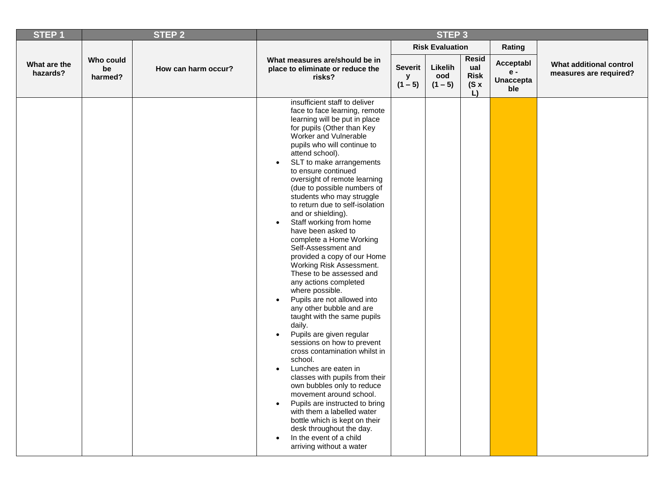| STEP <sub>1</sub>        |                            | STEP <sub>2</sub>   |                                                                                                                                                                                                                                                                                                                                                                                                                                                                                                                                                                                                                                                                                                                                                                                                                                                                                                                                                                                                                                                                                                                                                                                                                                                       |                                  | STEP <sub>3</sub>           |                                                  |                                               |                                                   |
|--------------------------|----------------------------|---------------------|-------------------------------------------------------------------------------------------------------------------------------------------------------------------------------------------------------------------------------------------------------------------------------------------------------------------------------------------------------------------------------------------------------------------------------------------------------------------------------------------------------------------------------------------------------------------------------------------------------------------------------------------------------------------------------------------------------------------------------------------------------------------------------------------------------------------------------------------------------------------------------------------------------------------------------------------------------------------------------------------------------------------------------------------------------------------------------------------------------------------------------------------------------------------------------------------------------------------------------------------------------|----------------------------------|-----------------------------|--------------------------------------------------|-----------------------------------------------|---------------------------------------------------|
|                          |                            |                     |                                                                                                                                                                                                                                                                                                                                                                                                                                                                                                                                                                                                                                                                                                                                                                                                                                                                                                                                                                                                                                                                                                                                                                                                                                                       |                                  | <b>Risk Evaluation</b>      |                                                  | Rating                                        |                                                   |
| What are the<br>hazards? | Who could<br>be<br>harmed? | How can harm occur? | What measures are/should be in<br>place to eliminate or reduce the<br>risks?                                                                                                                                                                                                                                                                                                                                                                                                                                                                                                                                                                                                                                                                                                                                                                                                                                                                                                                                                                                                                                                                                                                                                                          | <b>Severit</b><br>y<br>$(1 - 5)$ | Likelih<br>ood<br>$(1 - 5)$ | <b>Resid</b><br>ual<br><b>Risk</b><br>(Sx)<br>L) | Acceptabl<br>$e -$<br><b>Unaccepta</b><br>ble | What additional control<br>measures are required? |
|                          |                            |                     | insufficient staff to deliver<br>face to face learning, remote<br>learning will be put in place<br>for pupils (Other than Key<br>Worker and Vulnerable<br>pupils who will continue to<br>attend school).<br>SLT to make arrangements<br>$\bullet$<br>to ensure continued<br>oversight of remote learning<br>(due to possible numbers of<br>students who may struggle<br>to return due to self-isolation<br>and or shielding).<br>Staff working from home<br>have been asked to<br>complete a Home Working<br>Self-Assessment and<br>provided a copy of our Home<br>Working Risk Assessment.<br>These to be assessed and<br>any actions completed<br>where possible.<br>Pupils are not allowed into<br>$\bullet$<br>any other bubble and are<br>taught with the same pupils<br>daily.<br>Pupils are given regular<br>$\bullet$<br>sessions on how to prevent<br>cross contamination whilst in<br>school.<br>Lunches are eaten in<br>$\bullet$<br>classes with pupils from their<br>own bubbles only to reduce<br>movement around school.<br>Pupils are instructed to bring<br>$\bullet$<br>with them a labelled water<br>bottle which is kept on their<br>desk throughout the day.<br>In the event of a child<br>$\bullet$<br>arriving without a water |                                  |                             |                                                  |                                               |                                                   |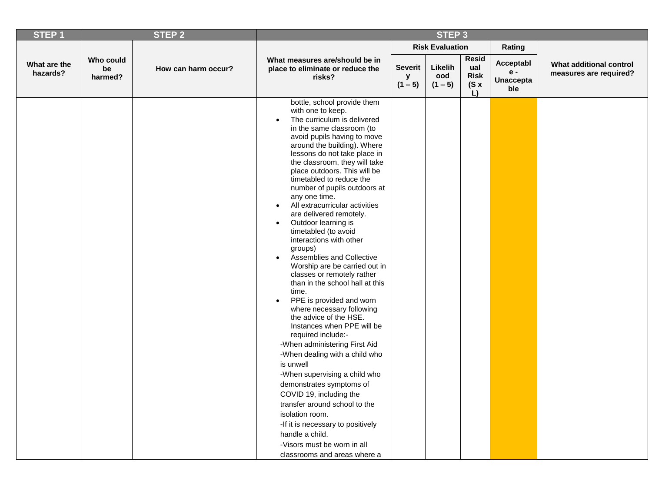| <b>Risk Evaluation</b><br>Rating<br><b>Resid</b><br>What measures are/should be in<br>Who could<br>Acceptabl<br>What additional control<br>What are the<br>Likelih<br>ual<br><b>Severit</b><br>How can harm occur?<br>be<br>place to eliminate or reduce the<br>$e -$<br>hazards?<br>measures are required?<br><b>Risk</b><br>ood<br>У<br>risks?<br>harmed?<br><b>Unaccepta</b><br>$(1 - 5)$<br>$(1 - 5)$<br>(Sx)<br>ble<br>L)<br>bottle, school provide them<br>with one to keep.<br>The curriculum is delivered<br>$\bullet$<br>in the same classroom (to<br>avoid pupils having to move<br>around the building). Where<br>lessons do not take place in<br>the classroom, they will take<br>place outdoors. This will be<br>timetabled to reduce the<br>number of pupils outdoors at<br>any one time.<br>All extracurricular activities<br>$\bullet$<br>are delivered remotely.<br>Outdoor learning is<br>$\bullet$<br>timetabled (to avoid<br>interactions with other<br>groups)<br>Assemblies and Collective<br>$\bullet$<br>Worship are be carried out in<br>classes or remotely rather<br>than in the school hall at this<br>time.<br>PPE is provided and worn<br>$\bullet$<br>where necessary following<br>the advice of the HSE.<br>Instances when PPE will be<br>required include:-<br>-When administering First Aid<br>-When dealing with a child who<br>is unwell<br>-When supervising a child who<br>demonstrates symptoms of<br>COVID 19, including the<br>transfer around school to the<br>isolation room.<br>-If it is necessary to positively<br>handle a child.<br>-Visors must be worn in all | <b>STEP1</b> | STEP <sub>2</sub> |                              | STEP <sub>3</sub> |  |  |
|-----------------------------------------------------------------------------------------------------------------------------------------------------------------------------------------------------------------------------------------------------------------------------------------------------------------------------------------------------------------------------------------------------------------------------------------------------------------------------------------------------------------------------------------------------------------------------------------------------------------------------------------------------------------------------------------------------------------------------------------------------------------------------------------------------------------------------------------------------------------------------------------------------------------------------------------------------------------------------------------------------------------------------------------------------------------------------------------------------------------------------------------------------------------------------------------------------------------------------------------------------------------------------------------------------------------------------------------------------------------------------------------------------------------------------------------------------------------------------------------------------------------------------------------------------------------------------------------------------------------|--------------|-------------------|------------------------------|-------------------|--|--|
|                                                                                                                                                                                                                                                                                                                                                                                                                                                                                                                                                                                                                                                                                                                                                                                                                                                                                                                                                                                                                                                                                                                                                                                                                                                                                                                                                                                                                                                                                                                                                                                                                 |              |                   |                              |                   |  |  |
|                                                                                                                                                                                                                                                                                                                                                                                                                                                                                                                                                                                                                                                                                                                                                                                                                                                                                                                                                                                                                                                                                                                                                                                                                                                                                                                                                                                                                                                                                                                                                                                                                 |              |                   |                              |                   |  |  |
|                                                                                                                                                                                                                                                                                                                                                                                                                                                                                                                                                                                                                                                                                                                                                                                                                                                                                                                                                                                                                                                                                                                                                                                                                                                                                                                                                                                                                                                                                                                                                                                                                 |              |                   | classrooms and areas where a |                   |  |  |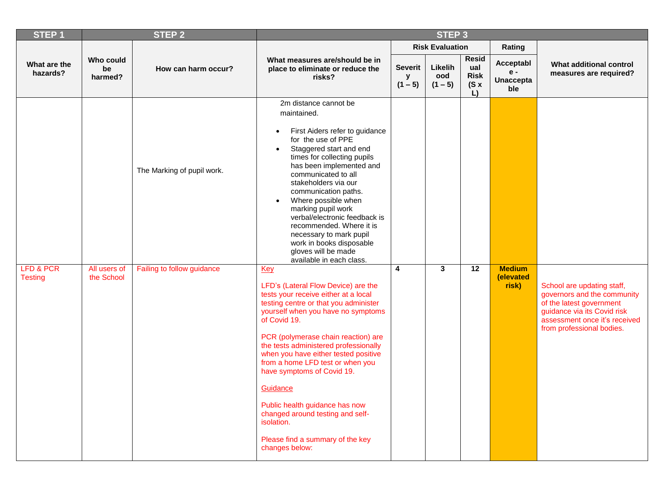| <b>STEP1</b>                           |                            | <b>STEP 2</b>                                            |                                                                                                                                                                                                                                                                                                                                                                                                                                                                                                                                                                                                                                                                                                                                                                                                                                                                                                                                                                                                                                                                  |                                  | STEP <sub>3</sub>           |                                                 |                                             |                                                                                                                                                                                    |
|----------------------------------------|----------------------------|----------------------------------------------------------|------------------------------------------------------------------------------------------------------------------------------------------------------------------------------------------------------------------------------------------------------------------------------------------------------------------------------------------------------------------------------------------------------------------------------------------------------------------------------------------------------------------------------------------------------------------------------------------------------------------------------------------------------------------------------------------------------------------------------------------------------------------------------------------------------------------------------------------------------------------------------------------------------------------------------------------------------------------------------------------------------------------------------------------------------------------|----------------------------------|-----------------------------|-------------------------------------------------|---------------------------------------------|------------------------------------------------------------------------------------------------------------------------------------------------------------------------------------|
|                                        |                            |                                                          |                                                                                                                                                                                                                                                                                                                                                                                                                                                                                                                                                                                                                                                                                                                                                                                                                                                                                                                                                                                                                                                                  |                                  | <b>Risk Evaluation</b>      |                                                 | Rating                                      |                                                                                                                                                                                    |
| What are the<br>hazards?               | Who could<br>be<br>harmed? | How can harm occur?                                      | What measures are/should be in<br>place to eliminate or reduce the<br>risks?                                                                                                                                                                                                                                                                                                                                                                                                                                                                                                                                                                                                                                                                                                                                                                                                                                                                                                                                                                                     | <b>Severit</b><br>У<br>$(1 - 5)$ | Likelih<br>ood<br>$(1 - 5)$ | <b>Resid</b><br>ual<br><b>Risk</b><br>(Sx)<br>L | Acceptabl<br>e -<br><b>Unaccepta</b><br>ble | What additional control<br>measures are required?                                                                                                                                  |
| <b>LFD &amp; PCR</b><br><b>Testing</b> | All users of<br>the School | The Marking of pupil work.<br>Failing to follow guidance | 2m distance cannot be<br>maintained.<br>First Aiders refer to guidance<br>$\bullet$<br>for the use of PPE<br>Staggered start and end<br>$\bullet$<br>times for collecting pupils<br>has been implemented and<br>communicated to all<br>stakeholders via our<br>communication paths.<br>Where possible when<br>$\bullet$<br>marking pupil work<br>verbal/electronic feedback is<br>recommended. Where it is<br>necessary to mark pupil<br>work in books disposable<br>gloves will be made<br>available in each class.<br><b>Key</b><br>LFD's (Lateral Flow Device) are the<br>tests your receive either at a local<br>testing centre or that you administer<br>yourself when you have no symptoms<br>of Covid 19.<br>PCR (polymerase chain reaction) are<br>the tests administered professionally<br>when you have either tested positive<br>from a home LFD test or when you<br>have symptoms of Covid 19.<br>Guidance<br>Public health guidance has now<br>changed around testing and self-<br>isolation.<br>Please find a summary of the key<br>changes below: | 4                                | $\mathbf{3}$                | 12                                              | <b>Medium</b><br>(elevated<br>risk)         | School are updating staff,<br>governors and the community<br>of the latest government<br>guidance via its Covid risk<br>assessment once it's received<br>from professional bodies. |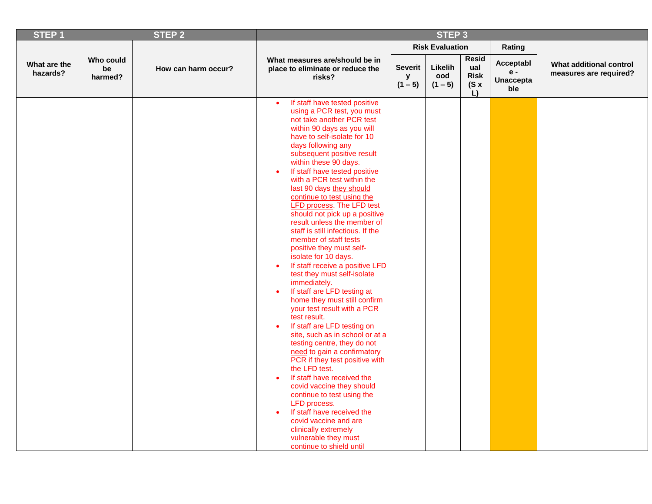| STEP <sub>1</sub>        |                            | <b>STEP 2</b>       |                                                                                                                                                                                                                                                                                                                                                                                                                                                                                                                                                                                                                                                                                                                                                                                                                                                                                                                                                                                                                                                                                                                                                                                                                                            |                                  | STEP <sub>3</sub>           |                                                  |                                               |                                                   |
|--------------------------|----------------------------|---------------------|--------------------------------------------------------------------------------------------------------------------------------------------------------------------------------------------------------------------------------------------------------------------------------------------------------------------------------------------------------------------------------------------------------------------------------------------------------------------------------------------------------------------------------------------------------------------------------------------------------------------------------------------------------------------------------------------------------------------------------------------------------------------------------------------------------------------------------------------------------------------------------------------------------------------------------------------------------------------------------------------------------------------------------------------------------------------------------------------------------------------------------------------------------------------------------------------------------------------------------------------|----------------------------------|-----------------------------|--------------------------------------------------|-----------------------------------------------|---------------------------------------------------|
|                          |                            |                     |                                                                                                                                                                                                                                                                                                                                                                                                                                                                                                                                                                                                                                                                                                                                                                                                                                                                                                                                                                                                                                                                                                                                                                                                                                            |                                  | <b>Risk Evaluation</b>      |                                                  | Rating                                        |                                                   |
| What are the<br>hazards? | Who could<br>be<br>harmed? | How can harm occur? | What measures are/should be in<br>place to eliminate or reduce the<br>risks?                                                                                                                                                                                                                                                                                                                                                                                                                                                                                                                                                                                                                                                                                                                                                                                                                                                                                                                                                                                                                                                                                                                                                               | <b>Severit</b><br>y<br>$(1 - 5)$ | Likelih<br>ood<br>$(1 - 5)$ | <b>Resid</b><br>ual<br><b>Risk</b><br>(Sx)<br>L) | Acceptabl<br>$e -$<br><b>Unaccepta</b><br>ble | What additional control<br>measures are required? |
|                          |                            |                     | If staff have tested positive<br>$\bullet$<br>using a PCR test, you must<br>not take another PCR test<br>within 90 days as you will<br>have to self-isolate for 10<br>days following any<br>subsequent positive result<br>within these 90 days.<br>If staff have tested positive<br>with a PCR test within the<br>last 90 days they should<br>continue to test using the<br><b>LFD process. The LFD test</b><br>should not pick up a positive<br>result unless the member of<br>staff is still infectious. If the<br>member of staff tests<br>positive they must self-<br>isolate for 10 days.<br>If staff receive a positive LFD<br>test they must self-isolate<br>immediately.<br>If staff are LFD testing at<br>home they must still confirm<br>your test result with a PCR<br>test result.<br>If staff are LFD testing on<br>$\bullet$<br>site, such as in school or at a<br>testing centre, they do not<br>need to gain a confirmatory<br>PCR if they test positive with<br>the LFD test.<br>If staff have received the<br>covid vaccine they should<br>continue to test using the<br>LFD process.<br>If staff have received the<br>covid vaccine and are<br>clinically extremely<br>vulnerable they must<br>continue to shield until |                                  |                             |                                                  |                                               |                                                   |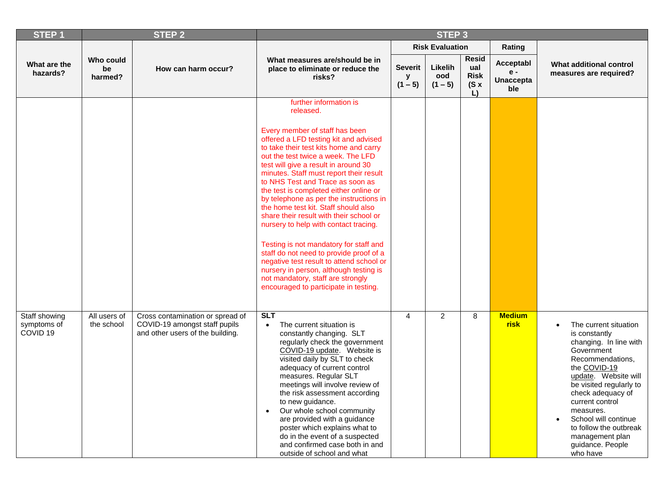| <b>STEP1</b>                                        |                            | <b>STEP 2</b>                                                                                         |                                                                                                                                                                                                                                                                                                                                                                                                                                                                                                                                                                                                                                                                                                                                                                                                 |                                  | STEP <sub>3</sub>           |                                                         |                                               |                                                                                                                                                                                                                                                                                                                                              |
|-----------------------------------------------------|----------------------------|-------------------------------------------------------------------------------------------------------|-------------------------------------------------------------------------------------------------------------------------------------------------------------------------------------------------------------------------------------------------------------------------------------------------------------------------------------------------------------------------------------------------------------------------------------------------------------------------------------------------------------------------------------------------------------------------------------------------------------------------------------------------------------------------------------------------------------------------------------------------------------------------------------------------|----------------------------------|-----------------------------|---------------------------------------------------------|-----------------------------------------------|----------------------------------------------------------------------------------------------------------------------------------------------------------------------------------------------------------------------------------------------------------------------------------------------------------------------------------------------|
|                                                     |                            |                                                                                                       |                                                                                                                                                                                                                                                                                                                                                                                                                                                                                                                                                                                                                                                                                                                                                                                                 |                                  | <b>Risk Evaluation</b>      |                                                         | Rating                                        |                                                                                                                                                                                                                                                                                                                                              |
| What are the<br>hazards?                            | Who could<br>be<br>harmed? | How can harm occur?                                                                                   | What measures are/should be in<br>place to eliminate or reduce the<br>risks?                                                                                                                                                                                                                                                                                                                                                                                                                                                                                                                                                                                                                                                                                                                    | <b>Severit</b><br>у<br>$(1 - 5)$ | Likelih<br>ood<br>$(1 - 5)$ | <b>Resid</b><br>ual<br><b>Risk</b><br>$(S \times$<br>L) | Acceptabl<br>$e -$<br><b>Unaccepta</b><br>ble | What additional control<br>measures are required?                                                                                                                                                                                                                                                                                            |
|                                                     |                            |                                                                                                       | further information is<br>released.<br>Every member of staff has been<br>offered a LFD testing kit and advised<br>to take their test kits home and carry<br>out the test twice a week. The LFD<br>test will give a result in around 30<br>minutes. Staff must report their result<br>to NHS Test and Trace as soon as<br>the test is completed either online or<br>by telephone as per the instructions in<br>the home test kit. Staff should also<br>share their result with their school or<br>nursery to help with contact tracing.<br>Testing is not mandatory for staff and<br>staff do not need to provide proof of a<br>negative test result to attend school or<br>nursery in person, although testing is<br>not mandatory, staff are strongly<br>encouraged to participate in testing. |                                  |                             |                                                         |                                               |                                                                                                                                                                                                                                                                                                                                              |
| Staff showing<br>symptoms of<br>COVID <sub>19</sub> | All users of<br>the school | Cross contamination or spread of<br>COVID-19 amongst staff pupils<br>and other users of the building. | <b>SLT</b><br>The current situation is<br>$\bullet$<br>constantly changing. SLT<br>regularly check the government<br>COVID-19 update. Website is<br>visited daily by SLT to check<br>adequacy of current control<br>measures. Regular SLT<br>meetings will involve review of<br>the risk assessment according<br>to new guidance.<br>Our whole school community<br>are provided with a guidance<br>poster which explains what to<br>do in the event of a suspected<br>and confirmed case both in and<br>outside of school and what                                                                                                                                                                                                                                                              | $\overline{4}$                   | $\overline{2}$              | 8                                                       | <b>Medium</b><br><b>risk</b>                  | The current situation<br>$\bullet$<br>is constantly<br>changing. In line with<br>Government<br>Recommendations,<br>the COVID-19<br>update. Website will<br>be visited regularly to<br>check adequacy of<br>current control<br>measures.<br>School will continue<br>to follow the outbreak<br>management plan<br>guidance. People<br>who have |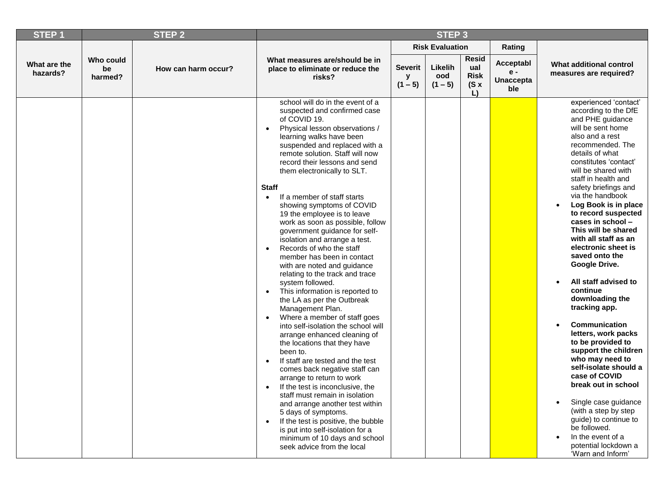| <b>STEP1</b>             |                                   | <b>STEP 2</b>       | STEP <sub>3</sub>                                                                                                                                                                                                                                                                                                                                                                                                                                                                                                                                                                                                                                                                                                                                                                                                                                                                                                                                                                                                                                                                                                                                                                                                                                                                                 |                                  |                             |                                                         |                                               |                                                                                                                                                                                                                                                                                                                                                                                                                                                                                                                                                                                                                                                                                                                                                                                                                                                              |
|--------------------------|-----------------------------------|---------------------|---------------------------------------------------------------------------------------------------------------------------------------------------------------------------------------------------------------------------------------------------------------------------------------------------------------------------------------------------------------------------------------------------------------------------------------------------------------------------------------------------------------------------------------------------------------------------------------------------------------------------------------------------------------------------------------------------------------------------------------------------------------------------------------------------------------------------------------------------------------------------------------------------------------------------------------------------------------------------------------------------------------------------------------------------------------------------------------------------------------------------------------------------------------------------------------------------------------------------------------------------------------------------------------------------|----------------------------------|-----------------------------|---------------------------------------------------------|-----------------------------------------------|--------------------------------------------------------------------------------------------------------------------------------------------------------------------------------------------------------------------------------------------------------------------------------------------------------------------------------------------------------------------------------------------------------------------------------------------------------------------------------------------------------------------------------------------------------------------------------------------------------------------------------------------------------------------------------------------------------------------------------------------------------------------------------------------------------------------------------------------------------------|
|                          |                                   |                     |                                                                                                                                                                                                                                                                                                                                                                                                                                                                                                                                                                                                                                                                                                                                                                                                                                                                                                                                                                                                                                                                                                                                                                                                                                                                                                   |                                  | <b>Risk Evaluation</b>      |                                                         | Rating                                        |                                                                                                                                                                                                                                                                                                                                                                                                                                                                                                                                                                                                                                                                                                                                                                                                                                                              |
| What are the<br>hazards? | <b>Who could</b><br>be<br>harmed? | How can harm occur? | What measures are/should be in<br>place to eliminate or reduce the<br>risks?                                                                                                                                                                                                                                                                                                                                                                                                                                                                                                                                                                                                                                                                                                                                                                                                                                                                                                                                                                                                                                                                                                                                                                                                                      | <b>Severit</b><br>v<br>$(1 - 5)$ | Likelih<br>ood<br>$(1 - 5)$ | <b>Resid</b><br>ual<br><b>Risk</b><br>$(S \times$<br>L) | Acceptabl<br>$e -$<br><b>Unaccepta</b><br>ble | What additional control<br>measures are required?                                                                                                                                                                                                                                                                                                                                                                                                                                                                                                                                                                                                                                                                                                                                                                                                            |
|                          |                                   |                     | school will do in the event of a<br>suspected and confirmed case<br>of COVID 19.<br>Physical lesson observations /<br>$\bullet$<br>learning walks have been<br>suspended and replaced with a<br>remote solution. Staff will now<br>record their lessons and send<br>them electronically to SLT.<br><b>Staff</b><br>If a member of staff starts<br>$\bullet$<br>showing symptoms of COVID<br>19 the employee is to leave<br>work as soon as possible, follow<br>government guidance for self-<br>isolation and arrange a test.<br>Records of who the staff<br>member has been in contact<br>with are noted and guidance<br>relating to the track and trace<br>system followed.<br>This information is reported to<br>the LA as per the Outbreak<br>Management Plan.<br>Where a member of staff goes<br>into self-isolation the school will<br>arrange enhanced cleaning of<br>the locations that they have<br>been to.<br>If staff are tested and the test<br>comes back negative staff can<br>arrange to return to work<br>If the test is inconclusive, the<br>staff must remain in isolation<br>and arrange another test within<br>5 days of symptoms.<br>If the test is positive, the bubble<br>is put into self-isolation for a<br>minimum of 10 days and school<br>seek advice from the local |                                  |                             |                                                         |                                               | experienced 'contact'<br>according to the DfE<br>and PHE guidance<br>will be sent home<br>also and a rest<br>recommended. The<br>details of what<br>constitutes 'contact'<br>will be shared with<br>staff in health and<br>safety briefings and<br>via the handbook<br>Log Book is in place<br>to record suspected<br>cases in school -<br>This will be shared<br>with all staff as an<br>electronic sheet is<br>saved onto the<br>Google Drive.<br>All staff advised to<br>continue<br>downloading the<br>tracking app.<br>Communication<br>letters, work packs<br>to be provided to<br>support the children<br>who may need to<br>self-isolate should a<br>case of COVID<br>break out in school<br>Single case guidance<br>(with a step by step<br>guide) to continue to<br>be followed.<br>In the event of a<br>potential lockdown a<br>'Warn and Inform' |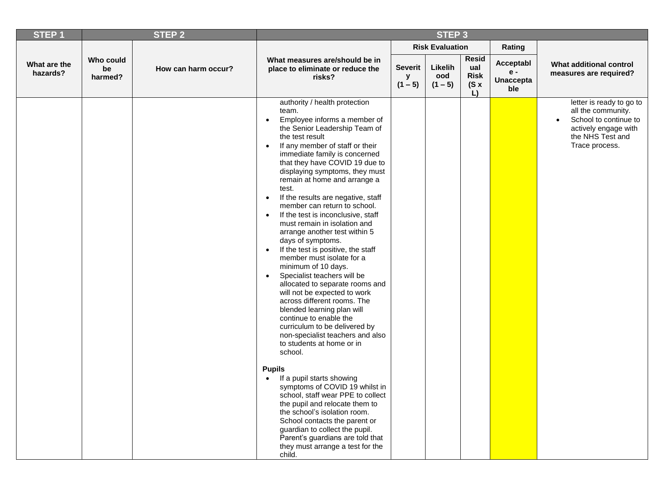| STEP <sub>1</sub>        |                            | <b>STEP 2</b>       |                                                                                                                                                                                                                                                                                                                                                                                                                                                                                                                                                                                                                                                                                                                                                                                                                                                                                                                                                                                                                                                                                                                                                                                                                                                                    |                                  | STEP <sub>3</sub>           |                                                         |                                             |                                                                                                                                                    |
|--------------------------|----------------------------|---------------------|--------------------------------------------------------------------------------------------------------------------------------------------------------------------------------------------------------------------------------------------------------------------------------------------------------------------------------------------------------------------------------------------------------------------------------------------------------------------------------------------------------------------------------------------------------------------------------------------------------------------------------------------------------------------------------------------------------------------------------------------------------------------------------------------------------------------------------------------------------------------------------------------------------------------------------------------------------------------------------------------------------------------------------------------------------------------------------------------------------------------------------------------------------------------------------------------------------------------------------------------------------------------|----------------------------------|-----------------------------|---------------------------------------------------------|---------------------------------------------|----------------------------------------------------------------------------------------------------------------------------------------------------|
|                          |                            |                     |                                                                                                                                                                                                                                                                                                                                                                                                                                                                                                                                                                                                                                                                                                                                                                                                                                                                                                                                                                                                                                                                                                                                                                                                                                                                    |                                  | <b>Risk Evaluation</b>      |                                                         | Rating                                      |                                                                                                                                                    |
| What are the<br>hazards? | Who could<br>be<br>harmed? | How can harm occur? | What measures are/should be in<br>place to eliminate or reduce the<br>risks?                                                                                                                                                                                                                                                                                                                                                                                                                                                                                                                                                                                                                                                                                                                                                                                                                                                                                                                                                                                                                                                                                                                                                                                       | <b>Severit</b><br>y<br>$(1 - 5)$ | Likelih<br>ood<br>$(1 - 5)$ | <b>Resid</b><br>ual<br><b>Risk</b><br>$(S \times$<br>L) | Acceptabl<br>e -<br><b>Unaccepta</b><br>ble | What additional control<br>measures are required?                                                                                                  |
|                          |                            |                     | authority / health protection<br>team.<br>Employee informs a member of<br>$\bullet$<br>the Senior Leadership Team of<br>the test result<br>If any member of staff or their<br>$\bullet$<br>immediate family is concerned<br>that they have COVID 19 due to<br>displaying symptoms, they must<br>remain at home and arrange a<br>test.<br>If the results are negative, staff<br>$\bullet$<br>member can return to school.<br>If the test is inconclusive, staff<br>$\bullet$<br>must remain in isolation and<br>arrange another test within 5<br>days of symptoms.<br>If the test is positive, the staff<br>$\bullet$<br>member must isolate for a<br>minimum of 10 days.<br>Specialist teachers will be<br>$\bullet$<br>allocated to separate rooms and<br>will not be expected to work<br>across different rooms. The<br>blended learning plan will<br>continue to enable the<br>curriculum to be delivered by<br>non-specialist teachers and also<br>to students at home or in<br>school.<br><b>Pupils</b><br>If a pupil starts showing<br>$\bullet$<br>symptoms of COVID 19 whilst in<br>school, staff wear PPE to collect<br>the pupil and relocate them to<br>the school's isolation room.<br>School contacts the parent or<br>guardian to collect the pupil. |                                  |                             |                                                         |                                             | letter is ready to go to<br>all the community.<br>School to continue to<br>$\bullet$<br>actively engage with<br>the NHS Test and<br>Trace process. |
|                          |                            |                     | Parent's guardians are told that<br>they must arrange a test for the<br>child.                                                                                                                                                                                                                                                                                                                                                                                                                                                                                                                                                                                                                                                                                                                                                                                                                                                                                                                                                                                                                                                                                                                                                                                     |                                  |                             |                                                         |                                             |                                                                                                                                                    |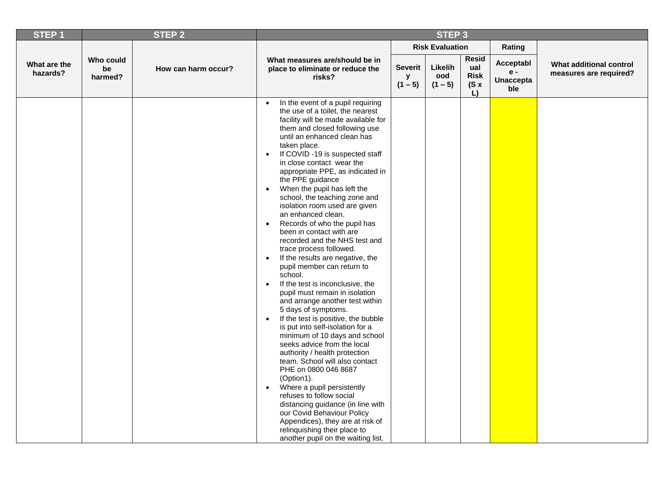| <b>STEP1</b>             |                            | STEP <sub>2</sub>   | STEP <sub>3</sub>                                                                                                                                                                                                                                                                                                                                                                                                                                                                                                                                                                                                                                                                                                                                                                                                                                                                                                                                                                                                                                                                                                                                                                                                                                                                                                                                         |                                  |                             |                                                  |                                               |                                                   |
|--------------------------|----------------------------|---------------------|-----------------------------------------------------------------------------------------------------------------------------------------------------------------------------------------------------------------------------------------------------------------------------------------------------------------------------------------------------------------------------------------------------------------------------------------------------------------------------------------------------------------------------------------------------------------------------------------------------------------------------------------------------------------------------------------------------------------------------------------------------------------------------------------------------------------------------------------------------------------------------------------------------------------------------------------------------------------------------------------------------------------------------------------------------------------------------------------------------------------------------------------------------------------------------------------------------------------------------------------------------------------------------------------------------------------------------------------------------------|----------------------------------|-----------------------------|--------------------------------------------------|-----------------------------------------------|---------------------------------------------------|
|                          |                            |                     |                                                                                                                                                                                                                                                                                                                                                                                                                                                                                                                                                                                                                                                                                                                                                                                                                                                                                                                                                                                                                                                                                                                                                                                                                                                                                                                                                           |                                  | <b>Risk Evaluation</b>      |                                                  | Rating                                        |                                                   |
| What are the<br>hazards? | Who could<br>be<br>harmed? | How can harm occur? | What measures are/should be in<br>place to eliminate or reduce the<br>risks?                                                                                                                                                                                                                                                                                                                                                                                                                                                                                                                                                                                                                                                                                                                                                                                                                                                                                                                                                                                                                                                                                                                                                                                                                                                                              | <b>Severit</b><br>y<br>$(1 - 5)$ | Likelih<br>ood<br>$(1 - 5)$ | <b>Resid</b><br>ual<br><b>Risk</b><br>(Sx)<br>L) | Acceptabl<br>$e -$<br><b>Unaccepta</b><br>ble | What additional control<br>measures are required? |
|                          |                            |                     | In the event of a pupil requiring<br>the use of a toilet, the nearest<br>facility will be made available for<br>them and closed following use<br>until an enhanced clean has<br>taken place.<br>If COVID -19 is suspected staff<br>in close contact wear the<br>appropriate PPE, as indicated in<br>the PPE guidance<br>When the pupil has left the<br>$\bullet$<br>school, the teaching zone and<br>isolation room used are given<br>an enhanced clean.<br>Records of who the pupil has<br>$\bullet$<br>been in contact with are<br>recorded and the NHS test and<br>trace process followed.<br>If the results are negative, the<br>$\bullet$<br>pupil member can return to<br>school.<br>If the test is inconclusive, the<br>$\bullet$<br>pupil must remain in isolation<br>and arrange another test within<br>5 days of symptoms.<br>If the test is positive, the bubble<br>$\bullet$<br>is put into self-isolation for a<br>minimum of 10 days and school<br>seeks advice from the local<br>authority / health protection<br>team. School will also contact<br>PHE on 0800 046 8687<br>(Option1).<br>Where a pupil persistently<br>$\bullet$<br>refuses to follow social<br>distancing guidance (in line with<br>our Covid Behaviour Policy<br>Appendices), they are at risk of<br>relinquishing their place to<br>another pupil on the waiting list. |                                  |                             |                                                  |                                               |                                                   |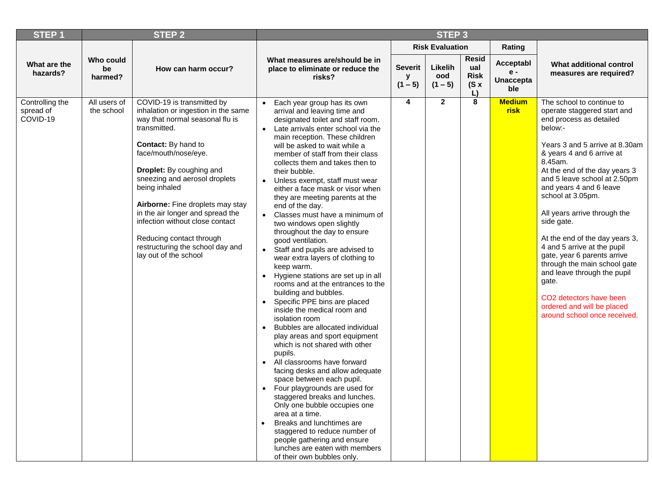| <b>STEP1</b>                             |                            | <b>STEP 2</b>                                                                                                                                                                                                                                                                                                                                                                                                                                         | STEP <sub>3</sub>                                                                                                                                                                                                                                                                                                                                                                                                                                                                                                                                                                                                                                                                                                                                                                                                                                                                                                                                                                                                                                                                                                                                                                                                                                                                                                                                                                                                                                    |                             |                             |                                                         |                                               |                                                                                                                                                                                                                                                                                                                                                                                                                                                                                                                                                                                                                      |
|------------------------------------------|----------------------------|-------------------------------------------------------------------------------------------------------------------------------------------------------------------------------------------------------------------------------------------------------------------------------------------------------------------------------------------------------------------------------------------------------------------------------------------------------|------------------------------------------------------------------------------------------------------------------------------------------------------------------------------------------------------------------------------------------------------------------------------------------------------------------------------------------------------------------------------------------------------------------------------------------------------------------------------------------------------------------------------------------------------------------------------------------------------------------------------------------------------------------------------------------------------------------------------------------------------------------------------------------------------------------------------------------------------------------------------------------------------------------------------------------------------------------------------------------------------------------------------------------------------------------------------------------------------------------------------------------------------------------------------------------------------------------------------------------------------------------------------------------------------------------------------------------------------------------------------------------------------------------------------------------------------|-----------------------------|-----------------------------|---------------------------------------------------------|-----------------------------------------------|----------------------------------------------------------------------------------------------------------------------------------------------------------------------------------------------------------------------------------------------------------------------------------------------------------------------------------------------------------------------------------------------------------------------------------------------------------------------------------------------------------------------------------------------------------------------------------------------------------------------|
|                                          |                            |                                                                                                                                                                                                                                                                                                                                                                                                                                                       |                                                                                                                                                                                                                                                                                                                                                                                                                                                                                                                                                                                                                                                                                                                                                                                                                                                                                                                                                                                                                                                                                                                                                                                                                                                                                                                                                                                                                                                      |                             | <b>Risk Evaluation</b>      |                                                         | Rating                                        |                                                                                                                                                                                                                                                                                                                                                                                                                                                                                                                                                                                                                      |
| What are the<br>hazards?                 | Who could<br>be<br>harmed? | How can harm occur?                                                                                                                                                                                                                                                                                                                                                                                                                                   | What measures are/should be in<br>place to eliminate or reduce the<br>risks?                                                                                                                                                                                                                                                                                                                                                                                                                                                                                                                                                                                                                                                                                                                                                                                                                                                                                                                                                                                                                                                                                                                                                                                                                                                                                                                                                                         | <b>Severit</b><br>$(1 - 5)$ | Likelih<br>ood<br>$(1 - 5)$ | <b>Resid</b><br>ual<br><b>Risk</b><br>$(S \times$<br>L) | Acceptabl<br>$e -$<br><b>Unaccepta</b><br>ble | What additional control<br>measures are required?                                                                                                                                                                                                                                                                                                                                                                                                                                                                                                                                                                    |
| Controlling the<br>spread of<br>COVID-19 | All users of<br>the school | COVID-19 is transmitted by<br>inhalation or ingestion in the same<br>way that normal seasonal flu is<br>transmitted.<br>Contact: By hand to<br>face/mouth/nose/eye.<br>Droplet: By coughing and<br>sneezing and aerosol droplets<br>being inhaled<br>Airborne: Fine droplets may stay<br>in the air longer and spread the<br>infection without close contact<br>Reducing contact through<br>restructuring the school day and<br>lay out of the school | Each year group has its own<br>$\bullet$<br>arrival and leaving time and<br>designated toilet and staff room.<br>Late arrivals enter school via the<br>$\bullet$<br>main reception. These children<br>will be asked to wait while a<br>member of staff from their class<br>collects them and takes then to<br>their bubble.<br>Unless exempt, staff must wear<br>$\bullet$<br>either a face mask or visor when<br>they are meeting parents at the<br>end of the day.<br>Classes must have a minimum of<br>$\bullet$<br>two windows open slightly<br>throughout the day to ensure<br>good ventilation.<br>Staff and pupils are advised to<br>$\bullet$<br>wear extra layers of clothing to<br>keep warm.<br>Hygiene stations are set up in all<br>$\bullet$<br>rooms and at the entrances to the<br>building and bubbles.<br>Specific PPE bins are placed<br>$\bullet$<br>inside the medical room and<br>isolation room<br>Bubbles are allocated individual<br>play areas and sport equipment<br>which is not shared with other<br>pupils.<br>All classrooms have forward<br>facing desks and allow adequate<br>space between each pupil.<br>Four playgrounds are used for<br>$\bullet$<br>staggered breaks and lunches.<br>Only one bubble occupies one<br>area at a time.<br>Breaks and lunchtimes are<br>$\bullet$<br>staggered to reduce number of<br>people gathering and ensure<br>lunches are eaten with members<br>of their own bubbles only. | 4                           | $\mathbf{2}$                | 8                                                       | <b>Medium</b><br>risk                         | The school to continue to<br>operate staggered start and<br>end process as detailed<br>below:-<br>Years 3 and 5 arrive at 8.30am<br>& years 4 and 6 arrive at<br>8.45am.<br>At the end of the day years 3<br>and 5 leave school at 2.50pm<br>and years 4 and 6 leave<br>school at 3.05pm.<br>All years arrive through the<br>side gate.<br>At the end of the day years 3,<br>4 and 5 arrive at the pupil<br>gate, year 6 parents arrive<br>through the main school gate<br>and leave through the pupil<br>gate.<br>CO <sub>2</sub> detectors have been<br>ordered and will be placed<br>around school once received. |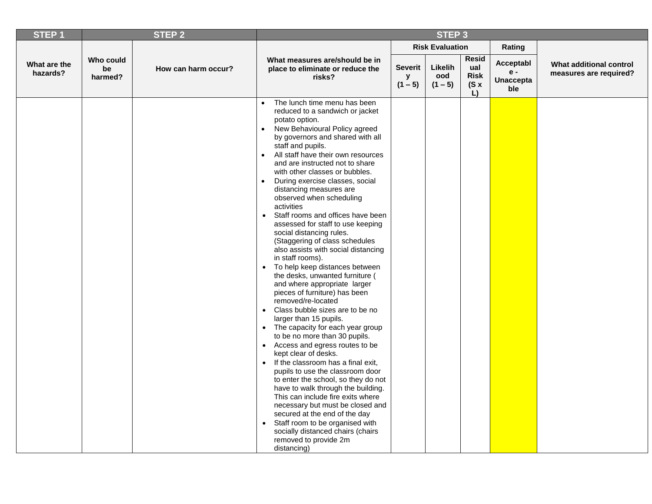| <b>STEP1</b>             |                            | STEP <sub>2</sub>   | STEP <sub>3</sub>                                                                                                                                                                                                                                                                                                                                                                                                                                                                                                                                                                                                                                                                                                                                                                                                                                                                                                                                                                                                                                                                                                                                                                                                                                                                                                                                                                                                                                                                         |                           |                             |                                                  |                                               |                                                   |
|--------------------------|----------------------------|---------------------|-------------------------------------------------------------------------------------------------------------------------------------------------------------------------------------------------------------------------------------------------------------------------------------------------------------------------------------------------------------------------------------------------------------------------------------------------------------------------------------------------------------------------------------------------------------------------------------------------------------------------------------------------------------------------------------------------------------------------------------------------------------------------------------------------------------------------------------------------------------------------------------------------------------------------------------------------------------------------------------------------------------------------------------------------------------------------------------------------------------------------------------------------------------------------------------------------------------------------------------------------------------------------------------------------------------------------------------------------------------------------------------------------------------------------------------------------------------------------------------------|---------------------------|-----------------------------|--------------------------------------------------|-----------------------------------------------|---------------------------------------------------|
|                          |                            |                     |                                                                                                                                                                                                                                                                                                                                                                                                                                                                                                                                                                                                                                                                                                                                                                                                                                                                                                                                                                                                                                                                                                                                                                                                                                                                                                                                                                                                                                                                                           |                           | <b>Risk Evaluation</b>      |                                                  | Rating                                        |                                                   |
| What are the<br>hazards? | Who could<br>be<br>harmed? | How can harm occur? | What measures are/should be in<br>place to eliminate or reduce the<br>risks?                                                                                                                                                                                                                                                                                                                                                                                                                                                                                                                                                                                                                                                                                                                                                                                                                                                                                                                                                                                                                                                                                                                                                                                                                                                                                                                                                                                                              | Severit<br>y<br>$(1 - 5)$ | Likelih<br>ood<br>$(1 - 5)$ | <b>Resid</b><br>ual<br><b>Risk</b><br>(Sx)<br>L) | Acceptabl<br>$e -$<br><b>Unaccepta</b><br>ble | What additional control<br>measures are required? |
|                          |                            |                     | The lunch time menu has been<br>$\bullet$<br>reduced to a sandwich or jacket<br>potato option.<br>New Behavioural Policy agreed<br>$\bullet$<br>by governors and shared with all<br>staff and pupils.<br>All staff have their own resources<br>$\bullet$<br>and are instructed not to share<br>with other classes or bubbles.<br>During exercise classes, social<br>$\bullet$<br>distancing measures are<br>observed when scheduling<br>activities<br>Staff rooms and offices have been<br>$\bullet$<br>assessed for staff to use keeping<br>social distancing rules.<br>(Staggering of class schedules<br>also assists with social distancing<br>in staff rooms).<br>To help keep distances between<br>$\bullet$<br>the desks, unwanted furniture (<br>and where appropriate larger<br>pieces of furniture) has been<br>removed/re-located<br>Class bubble sizes are to be no<br>$\bullet$<br>larger than 15 pupils.<br>The capacity for each year group<br>$\bullet$<br>to be no more than 30 pupils.<br>Access and egress routes to be<br>$\bullet$<br>kept clear of desks.<br>If the classroom has a final exit,<br>$\bullet$<br>pupils to use the classroom door<br>to enter the school, so they do not<br>have to walk through the building.<br>This can include fire exits where<br>necessary but must be closed and<br>secured at the end of the day<br>Staff room to be organised with<br>$\bullet$<br>socially distanced chairs (chairs<br>removed to provide 2m<br>distancing) |                           |                             |                                                  |                                               |                                                   |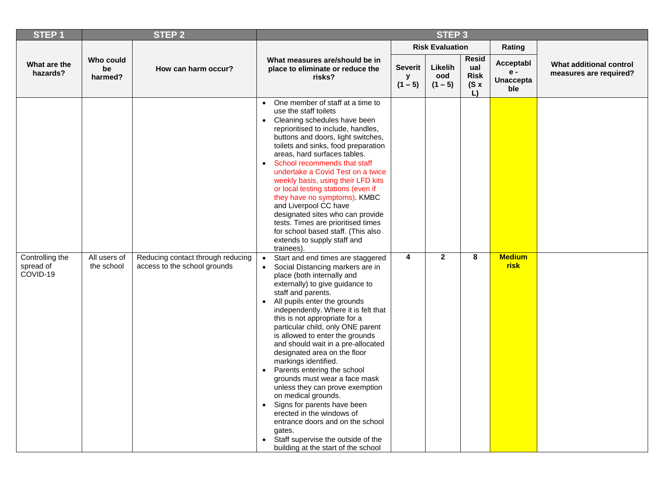| <b>STEP1</b>                             |                            | <b>STEP 2</b>                                                     | STEP <sub>3</sub>                                                                                                                                                                                                                                                                                                                                                                                                                                                                                                                                                                                                                                                                                                                                                                                                             |                                  |                             |                                           |                                               |                                                   |
|------------------------------------------|----------------------------|-------------------------------------------------------------------|-------------------------------------------------------------------------------------------------------------------------------------------------------------------------------------------------------------------------------------------------------------------------------------------------------------------------------------------------------------------------------------------------------------------------------------------------------------------------------------------------------------------------------------------------------------------------------------------------------------------------------------------------------------------------------------------------------------------------------------------------------------------------------------------------------------------------------|----------------------------------|-----------------------------|-------------------------------------------|-----------------------------------------------|---------------------------------------------------|
|                                          |                            |                                                                   |                                                                                                                                                                                                                                                                                                                                                                                                                                                                                                                                                                                                                                                                                                                                                                                                                               |                                  | <b>Risk Evaluation</b>      |                                           | Rating                                        |                                                   |
| What are the<br>hazards?                 | Who could<br>be<br>harmed? | How can harm occur?                                               | What measures are/should be in<br>place to eliminate or reduce the<br>risks?                                                                                                                                                                                                                                                                                                                                                                                                                                                                                                                                                                                                                                                                                                                                                  | <b>Severit</b><br>y<br>$(1 - 5)$ | Likelih<br>ood<br>$(1 - 5)$ | Resid<br>ual<br><b>Risk</b><br>(Sx)<br>L) | Acceptabl<br>$e -$<br><b>Unaccepta</b><br>ble | What additional control<br>measures are required? |
|                                          |                            |                                                                   | One member of staff at a time to<br>$\bullet$<br>use the staff toilets<br>• Cleaning schedules have been<br>reprioritised to include, handles,<br>buttons and doors, light switches,<br>toilets and sinks, food preparation<br>areas, hard surfaces tables.<br>School recommends that staff<br>$\bullet$<br>undertake a Covid Test on a twice<br>weekly basis, using their LFD kits<br>or local testing stations (even if<br>they have no symptoms). KMBC<br>and Liverpool CC have<br>designated sites who can provide<br>tests. Times are prioritised times<br>for school based staff. (This also<br>extends to supply staff and<br>trainees).                                                                                                                                                                               |                                  |                             |                                           |                                               |                                                   |
| Controlling the<br>spread of<br>COVID-19 | All users of<br>the school | Reducing contact through reducing<br>access to the school grounds | Start and end times are staggered<br>$\bullet$<br>Social Distancing markers are in<br>$\bullet$<br>place (both internally and<br>externally) to give guidance to<br>staff and parents.<br>All pupils enter the grounds<br>$\bullet$<br>independently. Where it is felt that<br>this is not appropriate for a<br>particular child, only ONE parent<br>is allowed to enter the grounds<br>and should wait in a pre-allocated<br>designated area on the floor<br>markings identified.<br>Parents entering the school<br>$\bullet$<br>grounds must wear a face mask<br>unless they can prove exemption<br>on medical grounds.<br>Signs for parents have been<br>$\bullet$<br>erected in the windows of<br>entrance doors and on the school<br>gates.<br>Staff supervise the outside of the<br>building at the start of the school | $\overline{\mathbf{4}}$          | $\overline{2}$              | 8                                         | <b>Medium</b><br><b>risk</b>                  |                                                   |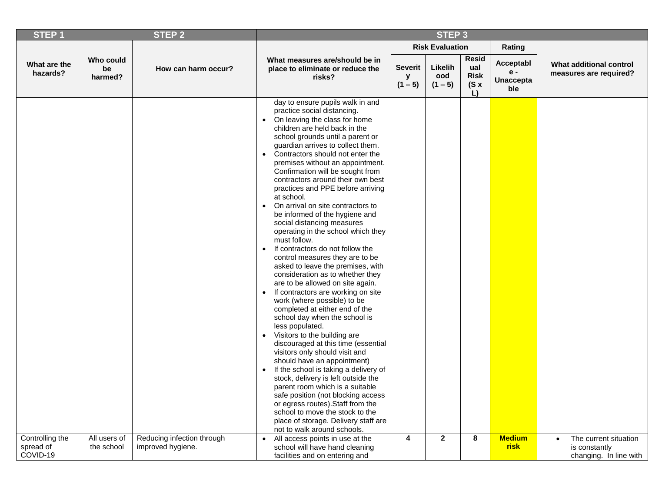| <b>STEP1</b>             |                            | <b>STEP 2</b>              | STEP <sub>3</sub>                                                                                                                                                                                                                                                                                                                                                                                                                                                                                                                                                                                                                                                                                                                                                                                                                                                                                                                                                                                                                                                                                                                                                                                                                                                                                                                                                                                                                                                   |                           |                             |                                                  |                                             |                                                   |
|--------------------------|----------------------------|----------------------------|---------------------------------------------------------------------------------------------------------------------------------------------------------------------------------------------------------------------------------------------------------------------------------------------------------------------------------------------------------------------------------------------------------------------------------------------------------------------------------------------------------------------------------------------------------------------------------------------------------------------------------------------------------------------------------------------------------------------------------------------------------------------------------------------------------------------------------------------------------------------------------------------------------------------------------------------------------------------------------------------------------------------------------------------------------------------------------------------------------------------------------------------------------------------------------------------------------------------------------------------------------------------------------------------------------------------------------------------------------------------------------------------------------------------------------------------------------------------|---------------------------|-----------------------------|--------------------------------------------------|---------------------------------------------|---------------------------------------------------|
|                          |                            |                            |                                                                                                                                                                                                                                                                                                                                                                                                                                                                                                                                                                                                                                                                                                                                                                                                                                                                                                                                                                                                                                                                                                                                                                                                                                                                                                                                                                                                                                                                     |                           | <b>Risk Evaluation</b>      |                                                  | Rating                                      |                                                   |
| What are the<br>hazards? | Who could<br>be<br>harmed? | How can harm occur?        | What measures are/should be in<br>place to eliminate or reduce the<br>risks?                                                                                                                                                                                                                                                                                                                                                                                                                                                                                                                                                                                                                                                                                                                                                                                                                                                                                                                                                                                                                                                                                                                                                                                                                                                                                                                                                                                        | Severit<br>У<br>$(1 - 5)$ | Likelih<br>ood<br>$(1 - 5)$ | <b>Resid</b><br>ual<br><b>Risk</b><br>(Sx)<br>L) | Acceptabl<br>e -<br><b>Unaccepta</b><br>ble | What additional control<br>measures are required? |
|                          |                            |                            | day to ensure pupils walk in and<br>practice social distancing.<br>On leaving the class for home<br>$\bullet$<br>children are held back in the<br>school grounds until a parent or<br>guardian arrives to collect them.<br>Contractors should not enter the<br>$\bullet$<br>premises without an appointment.<br>Confirmation will be sought from<br>contractors around their own best<br>practices and PPE before arriving<br>at school.<br>On arrival on site contractors to<br>$\bullet$<br>be informed of the hygiene and<br>social distancing measures<br>operating in the school which they<br>must follow.<br>If contractors do not follow the<br>$\bullet$<br>control measures they are to be<br>asked to leave the premises, with<br>consideration as to whether they<br>are to be allowed on site again.<br>If contractors are working on site<br>$\bullet$<br>work (where possible) to be<br>completed at either end of the<br>school day when the school is<br>less populated.<br>Visitors to the building are<br>$\bullet$<br>discouraged at this time (essential<br>visitors only should visit and<br>should have an appointment)<br>If the school is taking a delivery of<br>$\bullet$<br>stock, delivery is left outside the<br>parent room which is a suitable<br>safe position (not blocking access<br>or egress routes). Staff from the<br>school to move the stock to the<br>place of storage. Delivery staff are<br>not to walk around schools. |                           |                             |                                                  |                                             |                                                   |
| Controlling the          | All users of               | Reducing infection through | All access points in use at the<br>$\bullet$                                                                                                                                                                                                                                                                                                                                                                                                                                                                                                                                                                                                                                                                                                                                                                                                                                                                                                                                                                                                                                                                                                                                                                                                                                                                                                                                                                                                                        | 4                         | $\mathbf{2}$                | 8                                                | <b>Medium</b>                               | The current situation<br>$\bullet$                |
| spread of<br>COVID-19    | the school                 | improved hygiene.          | school will have hand cleaning<br>facilities and on entering and                                                                                                                                                                                                                                                                                                                                                                                                                                                                                                                                                                                                                                                                                                                                                                                                                                                                                                                                                                                                                                                                                                                                                                                                                                                                                                                                                                                                    |                           |                             |                                                  | risk                                        | is constantly<br>changing. In line with           |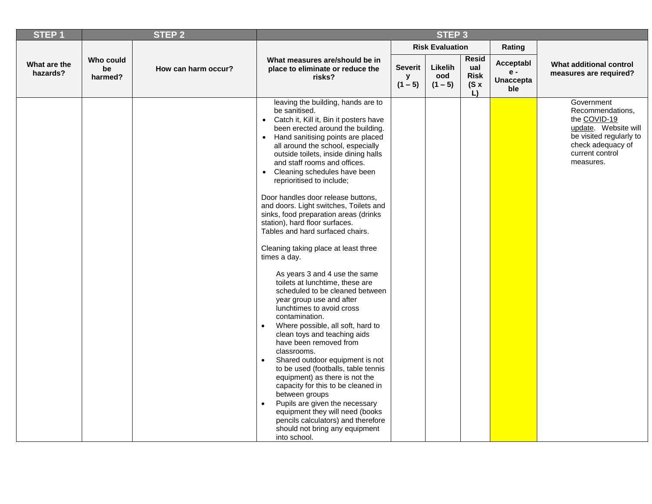| STEP <sub>1</sub>        |                            | <b>STEP 2</b>       | STEP <sub>3</sub>                                                                                                                                                                                                                                                                                                                                                                                                                                                                                                                                                                                                                                                                                                                                                                                                                                                                                                                                                                                                                                                                                                                                                                                                                                                     |                                  |                             |                                                  |                                               |                                                                                                                                                        |
|--------------------------|----------------------------|---------------------|-----------------------------------------------------------------------------------------------------------------------------------------------------------------------------------------------------------------------------------------------------------------------------------------------------------------------------------------------------------------------------------------------------------------------------------------------------------------------------------------------------------------------------------------------------------------------------------------------------------------------------------------------------------------------------------------------------------------------------------------------------------------------------------------------------------------------------------------------------------------------------------------------------------------------------------------------------------------------------------------------------------------------------------------------------------------------------------------------------------------------------------------------------------------------------------------------------------------------------------------------------------------------|----------------------------------|-----------------------------|--------------------------------------------------|-----------------------------------------------|--------------------------------------------------------------------------------------------------------------------------------------------------------|
|                          |                            |                     |                                                                                                                                                                                                                                                                                                                                                                                                                                                                                                                                                                                                                                                                                                                                                                                                                                                                                                                                                                                                                                                                                                                                                                                                                                                                       |                                  | <b>Risk Evaluation</b>      |                                                  | Rating                                        |                                                                                                                                                        |
| What are the<br>hazards? | Who could<br>be<br>harmed? | How can harm occur? | What measures are/should be in<br>place to eliminate or reduce the<br>risks?                                                                                                                                                                                                                                                                                                                                                                                                                                                                                                                                                                                                                                                                                                                                                                                                                                                                                                                                                                                                                                                                                                                                                                                          | <b>Severit</b><br>y<br>$(1 - 5)$ | Likelih<br>ood<br>$(1 - 5)$ | <b>Resid</b><br>ual<br><b>Risk</b><br>(Sx)<br>L) | Acceptabl<br>$e -$<br><b>Unaccepta</b><br>ble | What additional control<br>measures are required?                                                                                                      |
|                          |                            |                     | leaving the building, hands are to<br>be sanitised.<br>• Catch it, Kill it, Bin it posters have<br>been erected around the building.<br>Hand sanitising points are placed<br>$\bullet$<br>all around the school, especially<br>outside toilets, inside dining halls<br>and staff rooms and offices.<br>Cleaning schedules have been<br>$\bullet$<br>reprioritised to include;<br>Door handles door release buttons,<br>and doors. Light switches, Toilets and<br>sinks, food preparation areas (drinks<br>station), hard floor surfaces.<br>Tables and hard surfaced chairs.<br>Cleaning taking place at least three<br>times a day.<br>As years 3 and 4 use the same<br>toilets at lunchtime, these are<br>scheduled to be cleaned between<br>year group use and after<br>lunchtimes to avoid cross<br>contamination.<br>Where possible, all soft, hard to<br>clean toys and teaching aids<br>have been removed from<br>classrooms.<br>Shared outdoor equipment is not<br>to be used (footballs, table tennis<br>equipment) as there is not the<br>capacity for this to be cleaned in<br>between groups<br>Pupils are given the necessary<br>equipment they will need (books<br>pencils calculators) and therefore<br>should not bring any equipment<br>into school. |                                  |                             |                                                  |                                               | Government<br>Recommendations,<br>the COVID-19<br>update. Website will<br>be visited regularly to<br>check adequacy of<br>current control<br>measures. |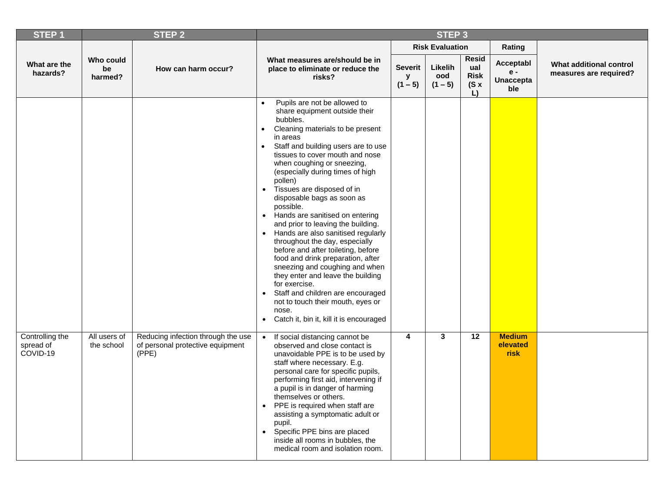| <b>STEP1</b>                             |                            | <b>STEP 2</b>                                                                   | STEP <sub>3</sub>                                                                                                                                                                                                                                                                                                                                                                                                                                                                                                                                                                                                                                                                                                                                                                                                                                                 |                                  |                             |                                                  |                                             |                                                   |
|------------------------------------------|----------------------------|---------------------------------------------------------------------------------|-------------------------------------------------------------------------------------------------------------------------------------------------------------------------------------------------------------------------------------------------------------------------------------------------------------------------------------------------------------------------------------------------------------------------------------------------------------------------------------------------------------------------------------------------------------------------------------------------------------------------------------------------------------------------------------------------------------------------------------------------------------------------------------------------------------------------------------------------------------------|----------------------------------|-----------------------------|--------------------------------------------------|---------------------------------------------|---------------------------------------------------|
|                                          |                            |                                                                                 |                                                                                                                                                                                                                                                                                                                                                                                                                                                                                                                                                                                                                                                                                                                                                                                                                                                                   |                                  | <b>Risk Evaluation</b>      |                                                  | Rating                                      |                                                   |
| What are the<br>hazards?                 | Who could<br>be<br>harmed? | How can harm occur?                                                             | What measures are/should be in<br>place to eliminate or reduce the<br>risks?                                                                                                                                                                                                                                                                                                                                                                                                                                                                                                                                                                                                                                                                                                                                                                                      | <b>Severit</b><br>у<br>$(1 - 5)$ | Likelih<br>ood<br>$(1 - 5)$ | <b>Resid</b><br>ual<br><b>Risk</b><br>(Sx)<br>L) | Acceptabl<br>e -<br><b>Unaccepta</b><br>ble | What additional control<br>measures are required? |
|                                          |                            |                                                                                 | Pupils are not be allowed to<br>$\bullet$<br>share equipment outside their<br>bubbles.<br>Cleaning materials to be present<br>in areas<br>Staff and building users are to use<br>$\bullet$<br>tissues to cover mouth and nose<br>when coughing or sneezing,<br>(especially during times of high<br>pollen)<br>Tissues are disposed of in<br>$\bullet$<br>disposable bags as soon as<br>possible.<br>• Hands are sanitised on entering<br>and prior to leaving the building.<br>Hands are also sanitised regularly<br>throughout the day, especially<br>before and after toileting, before<br>food and drink preparation, after<br>sneezing and coughing and when<br>they enter and leave the building<br>for exercise.<br>Staff and children are encouraged<br>not to touch their mouth, eyes or<br>nose.<br>Catch it, bin it, kill it is encouraged<br>$\bullet$ |                                  |                             |                                                  |                                             |                                                   |
| Controlling the<br>spread of<br>COVID-19 | All users of<br>the school | Reducing infection through the use<br>of personal protective equipment<br>(PPE) | If social distancing cannot be<br>$\bullet$<br>observed and close contact is<br>unavoidable PPE is to be used by<br>staff where necessary. E.g.<br>personal care for specific pupils,<br>performing first aid, intervening if<br>a pupil is in danger of harming<br>themselves or others.<br>PPE is required when staff are<br>$\bullet$<br>assisting a symptomatic adult or<br>pupil.<br>Specific PPE bins are placed<br>$\bullet$<br>inside all rooms in bubbles, the<br>medical room and isolation room.                                                                                                                                                                                                                                                                                                                                                       | 4                                | 3                           | $\overline{12}$                                  | <b>Medium</b><br>elevated<br>risk           |                                                   |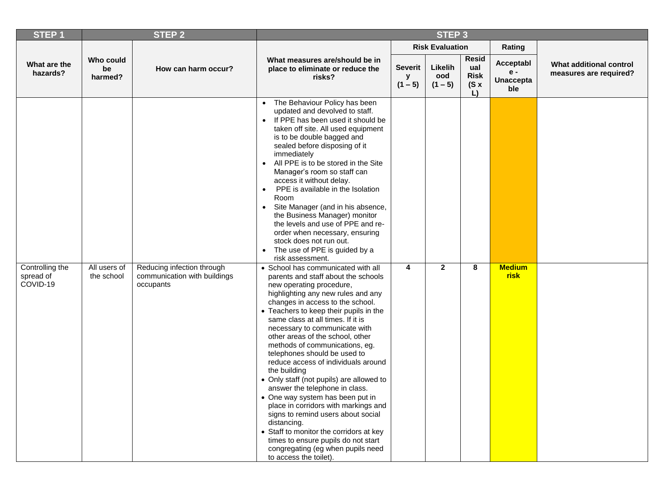| <b>STEP1</b>                             |                            | <b>STEP 2</b>                                                           | STEP <sub>3</sub>                                                                                                                                                                                                                                                                                                                                                                                                                                                                                                                                                                                                                                                                                                                                                                                                                                                                                                                                                                                                                                                                                                                                                                                                                                                                                                                                                                                                                                              |                                  |                             |                                                  |                                               |                                                   |
|------------------------------------------|----------------------------|-------------------------------------------------------------------------|----------------------------------------------------------------------------------------------------------------------------------------------------------------------------------------------------------------------------------------------------------------------------------------------------------------------------------------------------------------------------------------------------------------------------------------------------------------------------------------------------------------------------------------------------------------------------------------------------------------------------------------------------------------------------------------------------------------------------------------------------------------------------------------------------------------------------------------------------------------------------------------------------------------------------------------------------------------------------------------------------------------------------------------------------------------------------------------------------------------------------------------------------------------------------------------------------------------------------------------------------------------------------------------------------------------------------------------------------------------------------------------------------------------------------------------------------------------|----------------------------------|-----------------------------|--------------------------------------------------|-----------------------------------------------|---------------------------------------------------|
|                                          |                            |                                                                         |                                                                                                                                                                                                                                                                                                                                                                                                                                                                                                                                                                                                                                                                                                                                                                                                                                                                                                                                                                                                                                                                                                                                                                                                                                                                                                                                                                                                                                                                |                                  | <b>Risk Evaluation</b>      |                                                  | Rating                                        |                                                   |
| What are the<br>hazards?                 | Who could<br>be<br>harmed? | How can harm occur?                                                     | What measures are/should be in<br>place to eliminate or reduce the<br>risks?                                                                                                                                                                                                                                                                                                                                                                                                                                                                                                                                                                                                                                                                                                                                                                                                                                                                                                                                                                                                                                                                                                                                                                                                                                                                                                                                                                                   | <b>Severit</b><br>y<br>$(1 - 5)$ | Likelih<br>ood<br>$(1 - 5)$ | <b>Resid</b><br>ual<br><b>Risk</b><br>(Sx)<br>L) | Acceptabl<br>$e -$<br><b>Unaccepta</b><br>ble | What additional control<br>measures are required? |
| Controlling the<br>spread of<br>COVID-19 | All users of<br>the school | Reducing infection through<br>communication with buildings<br>occupants | The Behaviour Policy has been<br>$\bullet$<br>updated and devolved to staff.<br>If PPE has been used it should be<br>$\bullet$<br>taken off site. All used equipment<br>is to be double bagged and<br>sealed before disposing of it<br>immediately<br>All PPE is to be stored in the Site<br>$\bullet$<br>Manager's room so staff can<br>access it without delay.<br>PPE is available in the Isolation<br>Room<br>Site Manager (and in his absence,<br>$\bullet$<br>the Business Manager) monitor<br>the levels and use of PPE and re-<br>order when necessary, ensuring<br>stock does not run out.<br>The use of PPE is guided by a<br>risk assessment.<br>• School has communicated with all<br>parents and staff about the schools<br>new operating procedure,<br>highlighting any new rules and any<br>changes in access to the school.<br>• Teachers to keep their pupils in the<br>same class at all times. If it is<br>necessary to communicate with<br>other areas of the school, other<br>methods of communications, eg.<br>telephones should be used to<br>reduce access of individuals around<br>the building<br>• Only staff (not pupils) are allowed to<br>answer the telephone in class.<br>• One way system has been put in<br>place in corridors with markings and<br>signs to remind users about social<br>distancing.<br>• Staff to monitor the corridors at key<br>times to ensure pupils do not start<br>congregating (eg when pupils need | 4                                | $\overline{2}$              | 8                                                | <b>Medium</b><br><b>risk</b>                  |                                                   |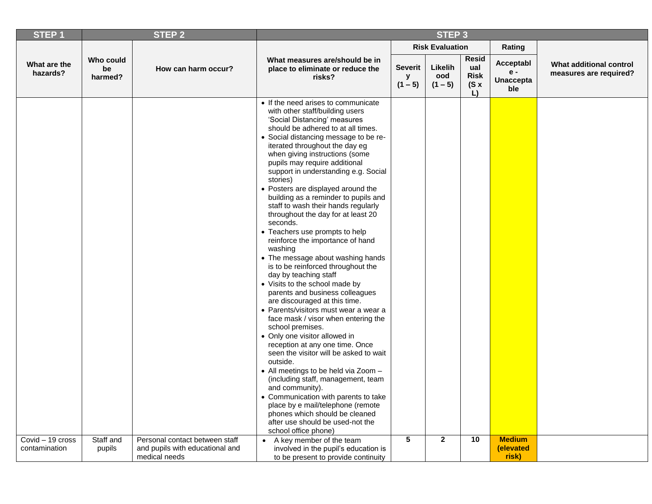| <b>STEP1</b>                      |                            | <b>STEP 2</b>                                                     | STEP <sub>3</sub>                                                                                                                                                                                                                                                                                                                                                                                                                                                                                                                                                                                                                                                                                                                                                                                                                                                                                                                                                                                                                                                                                                                                                                                                                                                                                                          |                                  |                             |                                                  |                                               |                                                   |
|-----------------------------------|----------------------------|-------------------------------------------------------------------|----------------------------------------------------------------------------------------------------------------------------------------------------------------------------------------------------------------------------------------------------------------------------------------------------------------------------------------------------------------------------------------------------------------------------------------------------------------------------------------------------------------------------------------------------------------------------------------------------------------------------------------------------------------------------------------------------------------------------------------------------------------------------------------------------------------------------------------------------------------------------------------------------------------------------------------------------------------------------------------------------------------------------------------------------------------------------------------------------------------------------------------------------------------------------------------------------------------------------------------------------------------------------------------------------------------------------|----------------------------------|-----------------------------|--------------------------------------------------|-----------------------------------------------|---------------------------------------------------|
|                                   |                            |                                                                   |                                                                                                                                                                                                                                                                                                                                                                                                                                                                                                                                                                                                                                                                                                                                                                                                                                                                                                                                                                                                                                                                                                                                                                                                                                                                                                                            |                                  | <b>Risk Evaluation</b>      |                                                  | Rating                                        |                                                   |
| What are the<br>hazards?          | Who could<br>be<br>harmed? | How can harm occur?                                               | What measures are/should be in<br>place to eliminate or reduce the<br>risks?                                                                                                                                                                                                                                                                                                                                                                                                                                                                                                                                                                                                                                                                                                                                                                                                                                                                                                                                                                                                                                                                                                                                                                                                                                               | <b>Severit</b><br>У<br>$(1 - 5)$ | Likelih<br>ood<br>$(1 - 5)$ | <b>Resid</b><br>ual<br><b>Risk</b><br>(Sx)<br>L) | Acceptabl<br>$e -$<br><b>Unaccepta</b><br>ble | What additional control<br>measures are required? |
|                                   |                            |                                                                   | • If the need arises to communicate<br>with other staff/building users<br>'Social Distancing' measures<br>should be adhered to at all times.<br>• Social distancing message to be re-<br>iterated throughout the day eg<br>when giving instructions (some<br>pupils may require additional<br>support in understanding e.g. Social<br>stories)<br>• Posters are displayed around the<br>building as a reminder to pupils and<br>staff to wash their hands regularly<br>throughout the day for at least 20<br>seconds.<br>• Teachers use prompts to help<br>reinforce the importance of hand<br>washing<br>• The message about washing hands<br>is to be reinforced throughout the<br>day by teaching staff<br>• Visits to the school made by<br>parents and business colleagues<br>are discouraged at this time.<br>• Parents/visitors must wear a wear a<br>face mask / visor when entering the<br>school premises.<br>• Only one visitor allowed in<br>reception at any one time. Once<br>seen the visitor will be asked to wait<br>outside.<br>• All meetings to be held via Zoom -<br>(including staff, management, team<br>and community).<br>• Communication with parents to take<br>place by e mail/telephone (remote<br>phones which should be cleaned<br>after use should be used-not the<br>school office phone) |                                  |                             |                                                  |                                               |                                                   |
| Covid - 19 cross<br>contamination | Staff and<br>pupils        | Personal contact between staff<br>and pupils with educational and | • A key member of the team<br>involved in the pupil's education is                                                                                                                                                                                                                                                                                                                                                                                                                                                                                                                                                                                                                                                                                                                                                                                                                                                                                                                                                                                                                                                                                                                                                                                                                                                         | $5\phantom{.0}$                  | $\overline{2}$              | 10                                               | <b>Medium</b><br>(elevated                    |                                                   |
|                                   |                            | medical needs                                                     | to be present to provide continuity                                                                                                                                                                                                                                                                                                                                                                                                                                                                                                                                                                                                                                                                                                                                                                                                                                                                                                                                                                                                                                                                                                                                                                                                                                                                                        |                                  |                             |                                                  | risk)                                         |                                                   |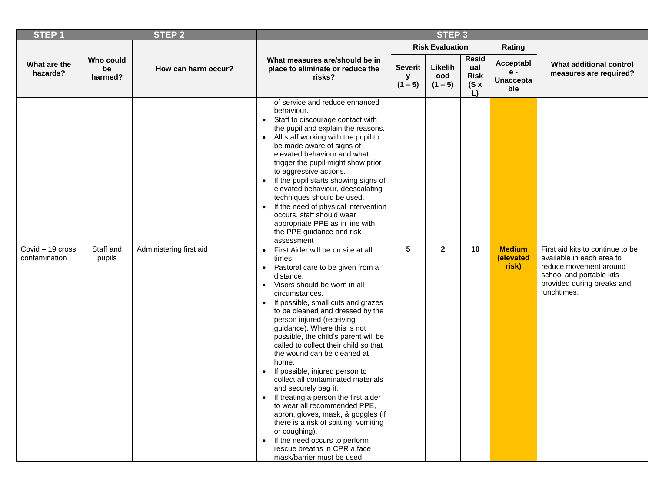| <b>STEP1</b>                      |                            | <b>STEP 2</b>           | STEP <sub>3</sub>                                                                                                                                                                                                                                                                                                                                                                                                                                                                                                                                                                                                                                                                                                                                                                                                                                                                                                                                                                                                                                                                                                                                                                                                                                                                                                                                    |                           |                             |                                                   |                                             |                                                                                                                                                                  |
|-----------------------------------|----------------------------|-------------------------|------------------------------------------------------------------------------------------------------------------------------------------------------------------------------------------------------------------------------------------------------------------------------------------------------------------------------------------------------------------------------------------------------------------------------------------------------------------------------------------------------------------------------------------------------------------------------------------------------------------------------------------------------------------------------------------------------------------------------------------------------------------------------------------------------------------------------------------------------------------------------------------------------------------------------------------------------------------------------------------------------------------------------------------------------------------------------------------------------------------------------------------------------------------------------------------------------------------------------------------------------------------------------------------------------------------------------------------------------|---------------------------|-----------------------------|---------------------------------------------------|---------------------------------------------|------------------------------------------------------------------------------------------------------------------------------------------------------------------|
|                                   |                            |                         |                                                                                                                                                                                                                                                                                                                                                                                                                                                                                                                                                                                                                                                                                                                                                                                                                                                                                                                                                                                                                                                                                                                                                                                                                                                                                                                                                      |                           | <b>Risk Evaluation</b>      |                                                   | Rating                                      |                                                                                                                                                                  |
| What are the<br>hazards?          | Who could<br>be<br>harmed? | How can harm occur?     | What measures are/should be in<br>place to eliminate or reduce the<br>risks?                                                                                                                                                                                                                                                                                                                                                                                                                                                                                                                                                                                                                                                                                                                                                                                                                                                                                                                                                                                                                                                                                                                                                                                                                                                                         | Severit<br>у<br>$(1 - 5)$ | Likelih<br>ood<br>$(1 - 5)$ | <b>Resid</b><br>ual<br><b>Risk</b><br>$(S \times$ | Acceptabl<br>e -<br><b>Unaccepta</b><br>ble | What additional control<br>measures are required?                                                                                                                |
| Covid - 19 cross<br>contamination | Staff and<br>pupils        | Administering first aid | of service and reduce enhanced<br>behaviour.<br>Staff to discourage contact with<br>$\bullet$<br>the pupil and explain the reasons.<br>All staff working with the pupil to<br>$\bullet$<br>be made aware of signs of<br>elevated behaviour and what<br>trigger the pupil might show prior<br>to aggressive actions.<br>If the pupil starts showing signs of<br>$\bullet$<br>elevated behaviour, deescalating<br>techniques should be used.<br>If the need of physical intervention<br>$\bullet$<br>occurs, staff should wear<br>appropriate PPE as in line with<br>the PPE guidance and risk<br>assessment<br>First Aider will be on site at all<br>$\bullet$<br>times<br>Pastoral care to be given from a<br>$\bullet$<br>distance.<br>Visors should be worn in all<br>$\bullet$<br>circumstances.<br>If possible, small cuts and grazes<br>$\bullet$<br>to be cleaned and dressed by the<br>person injured (receiving<br>guidance). Where this is not<br>possible, the child's parent will be<br>called to collect their child so that<br>the wound can be cleaned at<br>home.<br>If possible, injured person to<br>$\bullet$<br>collect all contaminated materials<br>and securely bag it.<br>If treating a person the first aider<br>to wear all recommended PPE,<br>apron, gloves, mask, & goggles (if<br>there is a risk of spitting, vomiting | $5\phantom{.0}$           | $\mathbf{2}$                | L)<br>10                                          | <b>Medium</b><br>(elevated<br>risk)         | First aid kits to continue to be<br>available in each area to<br>reduce movement around<br>school and portable kits<br>provided during breaks and<br>lunchtimes. |
|                                   |                            |                         | or coughing).<br>If the need occurs to perform<br>$\bullet$<br>rescue breaths in CPR a face<br>mask/barrier must be used.                                                                                                                                                                                                                                                                                                                                                                                                                                                                                                                                                                                                                                                                                                                                                                                                                                                                                                                                                                                                                                                                                                                                                                                                                            |                           |                             |                                                   |                                             |                                                                                                                                                                  |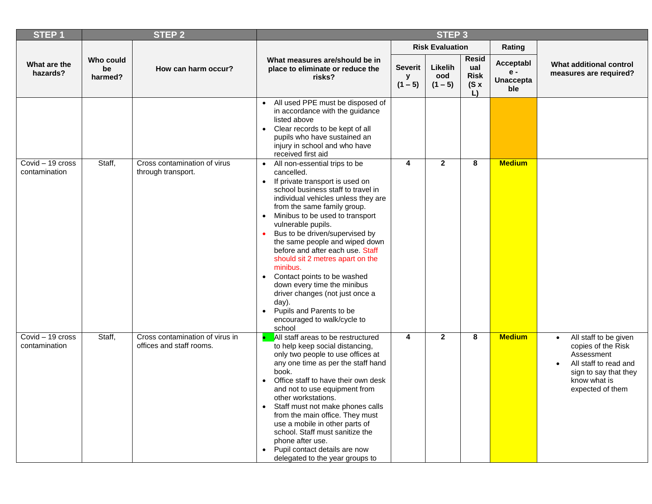| <b>STEP1</b>                      |                            | <b>STEP 2</b>                                               | STEP <sub>3</sub>                                                                                                                                                                                                                                                                                                                                                                                                                                                                                                                                                                                                                                           |                           |                             |                                                         |                                             |                                                                                                                                                                           |  |
|-----------------------------------|----------------------------|-------------------------------------------------------------|-------------------------------------------------------------------------------------------------------------------------------------------------------------------------------------------------------------------------------------------------------------------------------------------------------------------------------------------------------------------------------------------------------------------------------------------------------------------------------------------------------------------------------------------------------------------------------------------------------------------------------------------------------------|---------------------------|-----------------------------|---------------------------------------------------------|---------------------------------------------|---------------------------------------------------------------------------------------------------------------------------------------------------------------------------|--|
|                                   |                            |                                                             |                                                                                                                                                                                                                                                                                                                                                                                                                                                                                                                                                                                                                                                             |                           | <b>Risk Evaluation</b>      |                                                         | Rating                                      |                                                                                                                                                                           |  |
| What are the<br>hazards?          | Who could<br>be<br>harmed? | How can harm occur?                                         | What measures are/should be in<br>place to eliminate or reduce the<br>risks?                                                                                                                                                                                                                                                                                                                                                                                                                                                                                                                                                                                | Severit<br>у<br>$(1 - 5)$ | Likelih<br>ood<br>$(1 - 5)$ | <b>Resid</b><br>ual<br><b>Risk</b><br>$(S \times$<br>L) | Acceptabl<br>e -<br><b>Unaccepta</b><br>ble | What additional control<br>measures are required?                                                                                                                         |  |
|                                   |                            |                                                             | All used PPE must be disposed of<br>in accordance with the guidance<br>listed above<br>Clear records to be kept of all<br>$\bullet$<br>pupils who have sustained an<br>injury in school and who have<br>received first aid                                                                                                                                                                                                                                                                                                                                                                                                                                  |                           |                             |                                                         |                                             |                                                                                                                                                                           |  |
| Covid - 19 cross<br>contamination | Staff,                     | Cross contamination of virus<br>through transport.          | All non-essential trips to be<br>$\bullet$<br>cancelled.<br>If private transport is used on<br>$\bullet$<br>school business staff to travel in<br>individual vehicles unless they are<br>from the same family group.<br>Minibus to be used to transport<br>$\bullet$<br>vulnerable pupils.<br>Bus to be driven/supervised by<br>the same people and wiped down<br>before and after each use. Staff<br>should sit 2 metres apart on the<br>minibus.<br>Contact points to be washed<br>$\bullet$<br>down every time the minibus<br>driver changes (not just once a<br>day).<br>Pupils and Parents to be<br>$\bullet$<br>encouraged to walk/cycle to<br>school | 4                         | $\overline{2}$              | 8                                                       | <b>Medium</b>                               |                                                                                                                                                                           |  |
| Covid - 19 cross<br>contamination | Staff,                     | Cross contamination of virus in<br>offices and staff rooms. | All staff areas to be restructured<br>to help keep social distancing,<br>only two people to use offices at<br>any one time as per the staff hand<br>book.<br>Office staff to have their own desk<br>and not to use equipment from<br>other workstations.<br>Staff must not make phones calls<br>$\bullet$<br>from the main office. They must<br>use a mobile in other parts of<br>school. Staff must sanitize the<br>phone after use.<br>• Pupil contact details are now<br>delegated to the year groups to                                                                                                                                                 | 4                         | $\overline{2}$              | 8                                                       | <b>Medium</b>                               | All staff to be given<br>$\bullet$<br>copies of the Risk<br>Assessment<br>All staff to read and<br>$\bullet$<br>sign to say that they<br>know what is<br>expected of them |  |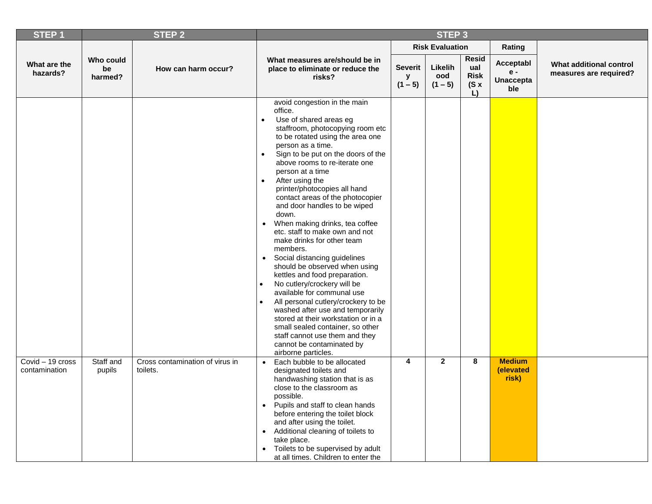| STEP <sub>1</sub>                 |                            | <b>STEP 2</b>                               | STEP <sub>3</sub>                                                                                                                                                                                                                                                                                                                                                                                                                                                                                                                                                                                                                                                                                                                                                                                                                                                                                                                                                      |                                  |                             |                                                  |                                             |                                                   |  |  |
|-----------------------------------|----------------------------|---------------------------------------------|------------------------------------------------------------------------------------------------------------------------------------------------------------------------------------------------------------------------------------------------------------------------------------------------------------------------------------------------------------------------------------------------------------------------------------------------------------------------------------------------------------------------------------------------------------------------------------------------------------------------------------------------------------------------------------------------------------------------------------------------------------------------------------------------------------------------------------------------------------------------------------------------------------------------------------------------------------------------|----------------------------------|-----------------------------|--------------------------------------------------|---------------------------------------------|---------------------------------------------------|--|--|
|                                   |                            |                                             |                                                                                                                                                                                                                                                                                                                                                                                                                                                                                                                                                                                                                                                                                                                                                                                                                                                                                                                                                                        |                                  | <b>Risk Evaluation</b>      |                                                  | Rating                                      |                                                   |  |  |
| What are the<br>hazards?          | Who could<br>be<br>harmed? | How can harm occur?                         | What measures are/should be in<br>place to eliminate or reduce the<br>risks?                                                                                                                                                                                                                                                                                                                                                                                                                                                                                                                                                                                                                                                                                                                                                                                                                                                                                           | <b>Severit</b><br>у<br>$(1 - 5)$ | Likelih<br>ood<br>$(1 - 5)$ | <b>Resid</b><br>ual<br><b>Risk</b><br>(Sx)<br>L) | Acceptabl<br>e -<br><b>Unaccepta</b><br>ble | What additional control<br>measures are required? |  |  |
|                                   |                            |                                             | avoid congestion in the main<br>office.<br>Use of shared areas eg<br>staffroom, photocopying room etc<br>to be rotated using the area one<br>person as a time.<br>Sign to be put on the doors of the<br>$\bullet$<br>above rooms to re-iterate one<br>person at a time<br>After using the<br>$\bullet$<br>printer/photocopies all hand<br>contact areas of the photocopier<br>and door handles to be wiped<br>down.<br>When making drinks, tea coffee<br>etc. staff to make own and not<br>make drinks for other team<br>members.<br>Social distancing guidelines<br>$\bullet$<br>should be observed when using<br>kettles and food preparation.<br>No cutlery/crockery will be<br>$\bullet$<br>available for communal use<br>All personal cutlery/crockery to be<br>washed after use and temporarily<br>stored at their workstation or in a<br>small sealed container, so other<br>staff cannot use them and they<br>cannot be contaminated by<br>airborne particles. |                                  |                             |                                                  |                                             |                                                   |  |  |
| Covid - 19 cross<br>contamination | Staff and<br>pupils        | Cross contamination of virus in<br>toilets. | Each bubble to be allocated<br>$\bullet$<br>designated toilets and<br>handwashing station that is as<br>close to the classroom as<br>possible.<br>• Pupils and staff to clean hands<br>before entering the toilet block<br>and after using the toilet.<br>• Additional cleaning of toilets to<br>take place.<br>• Toilets to be supervised by adult<br>at all times. Children to enter the                                                                                                                                                                                                                                                                                                                                                                                                                                                                                                                                                                             | 4                                | $\mathbf{2}$                | 8                                                | <b>Medium</b><br>(elevated<br>risk)         |                                                   |  |  |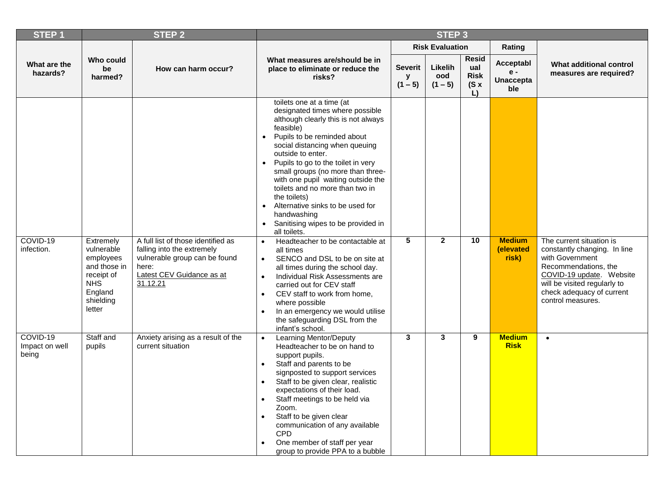| STEP <sub>1</sub>                   |                                                                                                                    | <b>STEP 2</b>                                                                                                                                       | STEP <sub>3</sub>                                                                                                                                                                                                                                                                                                                                                                                                                                                                                                                                                                                                                                                                                                                                                                                                                                                                                                                          |                                  |                             |                                           |                                               |                                                                                                                                                                                                                   |  |
|-------------------------------------|--------------------------------------------------------------------------------------------------------------------|-----------------------------------------------------------------------------------------------------------------------------------------------------|--------------------------------------------------------------------------------------------------------------------------------------------------------------------------------------------------------------------------------------------------------------------------------------------------------------------------------------------------------------------------------------------------------------------------------------------------------------------------------------------------------------------------------------------------------------------------------------------------------------------------------------------------------------------------------------------------------------------------------------------------------------------------------------------------------------------------------------------------------------------------------------------------------------------------------------------|----------------------------------|-----------------------------|-------------------------------------------|-----------------------------------------------|-------------------------------------------------------------------------------------------------------------------------------------------------------------------------------------------------------------------|--|
|                                     |                                                                                                                    |                                                                                                                                                     |                                                                                                                                                                                                                                                                                                                                                                                                                                                                                                                                                                                                                                                                                                                                                                                                                                                                                                                                            |                                  | <b>Risk Evaluation</b>      |                                           | Rating                                        |                                                                                                                                                                                                                   |  |
| What are the<br>hazards?            | Who could<br>be<br>harmed?                                                                                         | How can harm occur?                                                                                                                                 | What measures are/should be in<br>place to eliminate or reduce the<br>risks?                                                                                                                                                                                                                                                                                                                                                                                                                                                                                                                                                                                                                                                                                                                                                                                                                                                               | <b>Severit</b><br>У<br>$(1 - 5)$ | Likelih<br>ood<br>$(1 - 5)$ | Resid<br>ual<br><b>Risk</b><br>(Sx)<br>L) | Acceptabl<br>$e -$<br><b>Unaccepta</b><br>ble | What additional control<br>measures are required?                                                                                                                                                                 |  |
| COVID-19<br>infection.              | Extremely<br>vulnerable<br>employees<br>and those in<br>receipt of<br><b>NHS</b><br>England<br>shielding<br>letter | A full list of those identified as<br>falling into the extremely<br>vulnerable group can be found<br>here:<br>Latest CEV Guidance as at<br>31.12.21 | toilets one at a time (at<br>designated times where possible<br>although clearly this is not always<br>feasible)<br>Pupils to be reminded about<br>$\bullet$<br>social distancing when queuing<br>outside to enter.<br>Pupils to go to the toilet in very<br>$\bullet$<br>small groups (no more than three-<br>with one pupil waiting outside the<br>toilets and no more than two in<br>the toilets)<br>Alternative sinks to be used for<br>$\bullet$<br>handwashing<br>Sanitising wipes to be provided in<br>$\bullet$<br>all toilets.<br>Headteacher to be contactable at<br>$\bullet$<br>all times<br>SENCO and DSL to be on site at<br>$\bullet$<br>all times during the school day.<br>$\bullet$<br>Individual Risk Assessments are<br>carried out for CEV staff<br>CEV staff to work from home,<br>$\bullet$<br>where possible<br>In an emergency we would utilise<br>$\bullet$<br>the safeguarding DSL from the<br>infant's school. | $\overline{5}$                   | $\overline{2}$              | 10                                        | <b>Medium</b><br>(elevated<br>risk)           | The current situation is<br>constantly changing. In line<br>with Government<br>Recommendations, the<br>COVID-19 update. Website<br>will be visited regularly to<br>check adequacy of current<br>control measures. |  |
| COVID-19<br>Impact on well<br>being | Staff and<br>pupils                                                                                                | Anxiety arising as a result of the<br>current situation                                                                                             | Learning Mentor/Deputy<br>$\bullet$<br>Headteacher to be on hand to<br>support pupils.<br>Staff and parents to be<br>$\bullet$<br>signposted to support services<br>Staff to be given clear, realistic<br>$\bullet$<br>expectations of their load.<br>Staff meetings to be held via<br>$\bullet$<br>Zoom.<br>Staff to be given clear<br>$\bullet$<br>communication of any available<br><b>CPD</b><br>One member of staff per year<br>group to provide PPA to a bubble                                                                                                                                                                                                                                                                                                                                                                                                                                                                      | 3                                | 3                           | 9                                         | <b>Medium</b><br><b>Risk</b>                  | $\bullet$                                                                                                                                                                                                         |  |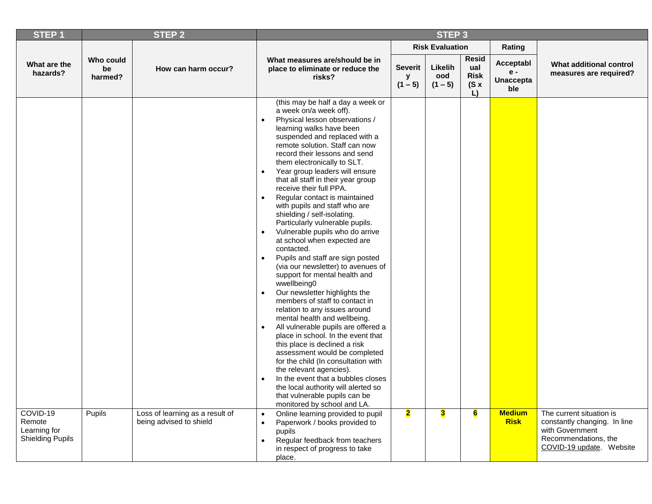| <b>STEP1</b>                                                  |                            | <b>STEP 2</b>                                              | STEP <sub>3</sub>                                                                                                                                                                                                                                                                                                                                                                                                                                                                                                                                                                                                                                                                                                                                                                                                                                                                                                                                                                                                                                                                                                                                                                                                                                                                                          |                                  |                             |                                                  |                                               |                                                                                                                                    |
|---------------------------------------------------------------|----------------------------|------------------------------------------------------------|------------------------------------------------------------------------------------------------------------------------------------------------------------------------------------------------------------------------------------------------------------------------------------------------------------------------------------------------------------------------------------------------------------------------------------------------------------------------------------------------------------------------------------------------------------------------------------------------------------------------------------------------------------------------------------------------------------------------------------------------------------------------------------------------------------------------------------------------------------------------------------------------------------------------------------------------------------------------------------------------------------------------------------------------------------------------------------------------------------------------------------------------------------------------------------------------------------------------------------------------------------------------------------------------------------|----------------------------------|-----------------------------|--------------------------------------------------|-----------------------------------------------|------------------------------------------------------------------------------------------------------------------------------------|
|                                                               |                            |                                                            |                                                                                                                                                                                                                                                                                                                                                                                                                                                                                                                                                                                                                                                                                                                                                                                                                                                                                                                                                                                                                                                                                                                                                                                                                                                                                                            |                                  | <b>Risk Evaluation</b>      |                                                  | Rating                                        |                                                                                                                                    |
| What are the<br>hazards?                                      | Who could<br>be<br>harmed? | How can harm occur?                                        | What measures are/should be in<br>place to eliminate or reduce the<br>risks?                                                                                                                                                                                                                                                                                                                                                                                                                                                                                                                                                                                                                                                                                                                                                                                                                                                                                                                                                                                                                                                                                                                                                                                                                               | <b>Severit</b><br>У<br>$(1 - 5)$ | Likelih<br>ood<br>$(1 - 5)$ | <b>Resid</b><br>ual<br><b>Risk</b><br>(Sx)<br>L) | Acceptabl<br>$e -$<br><b>Unaccepta</b><br>ble | What additional control<br>measures are required?                                                                                  |
|                                                               |                            |                                                            | (this may be half a day a week or<br>a week on/a week off).<br>Physical lesson observations /<br>$\bullet$<br>learning walks have been<br>suspended and replaced with a<br>remote solution. Staff can now<br>record their lessons and send<br>them electronically to SLT.<br>Year group leaders will ensure<br>$\bullet$<br>that all staff in their year group<br>receive their full PPA.<br>Regular contact is maintained<br>$\bullet$<br>with pupils and staff who are<br>shielding / self-isolating.<br>Particularly vulnerable pupils.<br>Vulnerable pupils who do arrive<br>$\bullet$<br>at school when expected are<br>contacted.<br>Pupils and staff are sign posted<br>$\bullet$<br>(via our newsletter) to avenues of<br>support for mental health and<br>wwellbeing0<br>Our newsletter highlights the<br>$\bullet$<br>members of staff to contact in<br>relation to any issues around<br>mental health and wellbeing.<br>All vulnerable pupils are offered a<br>$\bullet$<br>place in school. In the event that<br>this place is declined a risk<br>assessment would be completed<br>for the child (In consultation with<br>the relevant agencies).<br>In the event that a bubbles closes<br>the local authority will alerted so<br>that vulnerable pupils can be<br>monitored by school and LA. |                                  |                             |                                                  |                                               |                                                                                                                                    |
| COVID-19<br>Remote<br>Learning for<br><b>Shielding Pupils</b> | Pupils                     | Loss of learning as a result of<br>being advised to shield | Online learning provided to pupil<br>$\bullet$<br>Paperwork / books provided to<br>$\bullet$<br>pupils<br>Regular feedback from teachers<br>$\bullet$<br>in respect of progress to take<br>place.                                                                                                                                                                                                                                                                                                                                                                                                                                                                                                                                                                                                                                                                                                                                                                                                                                                                                                                                                                                                                                                                                                          | $\overline{\mathbf{2}}$          | 3                           | $6\overline{6}$                                  | <b>Medium</b><br><b>Risk</b>                  | The current situation is<br>constantly changing. In line<br>with Government<br>Recommendations, the<br>COVID-19 update.<br>Website |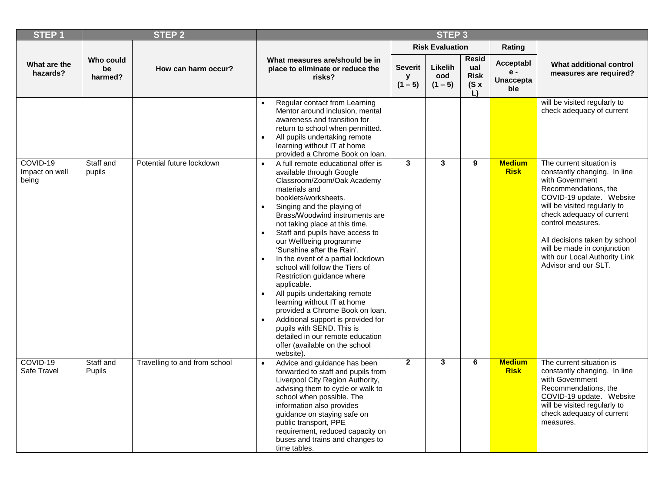| STEP <sub>1</sub>                                      |                     | <b>STEP 2</b>                 | STEP <sub>3</sub>                                                                                                                                                                                                                                                                                                                                                                                                                                                                                                                                                                                                                                                                                                                                         |              |                             |                                                            |                                               |                                                                                                                                                                                                                                                                                                                                            |
|--------------------------------------------------------|---------------------|-------------------------------|-----------------------------------------------------------------------------------------------------------------------------------------------------------------------------------------------------------------------------------------------------------------------------------------------------------------------------------------------------------------------------------------------------------------------------------------------------------------------------------------------------------------------------------------------------------------------------------------------------------------------------------------------------------------------------------------------------------------------------------------------------------|--------------|-----------------------------|------------------------------------------------------------|-----------------------------------------------|--------------------------------------------------------------------------------------------------------------------------------------------------------------------------------------------------------------------------------------------------------------------------------------------------------------------------------------------|
|                                                        |                     |                               |                                                                                                                                                                                                                                                                                                                                                                                                                                                                                                                                                                                                                                                                                                                                                           |              | <b>Risk Evaluation</b>      |                                                            | Rating                                        |                                                                                                                                                                                                                                                                                                                                            |
| Who could<br>What are the<br>be<br>hazards?<br>harmed? |                     | How can harm occur?           | What measures are/should be in<br>place to eliminate or reduce the<br>risks?                                                                                                                                                                                                                                                                                                                                                                                                                                                                                                                                                                                                                                                                              |              | Likelih<br>ood<br>$(1 - 5)$ | <b>Resid</b><br>ual<br><b>Risk</b><br>(Sx)<br>$\mathsf{L}$ | Acceptabl<br>$e -$<br><b>Unaccepta</b><br>ble | What additional control<br>measures are required?                                                                                                                                                                                                                                                                                          |
|                                                        |                     |                               | Regular contact from Learning<br>Mentor around inclusion, mental<br>awareness and transition for<br>return to school when permitted.<br>All pupils undertaking remote<br>$\bullet$<br>learning without IT at home<br>provided a Chrome Book on loan.                                                                                                                                                                                                                                                                                                                                                                                                                                                                                                      |              |                             |                                                            |                                               | will be visited regularly to<br>check adequacy of current                                                                                                                                                                                                                                                                                  |
| COVID-19<br>Impact on well<br>being                    | Staff and<br>pupils | Potential future lockdown     | A full remote educational offer is<br>available through Google<br>Classroom/Zoom/Oak Academy<br>materials and<br>booklets/worksheets.<br>Singing and the playing of<br>$\bullet$<br>Brass/Woodwind instruments are<br>not taking place at this time.<br>Staff and pupils have access to<br>$\bullet$<br>our Wellbeing programme<br>'Sunshine after the Rain'.<br>In the event of a partial lockdown<br>school will follow the Tiers of<br>Restriction guidance where<br>applicable.<br>All pupils undertaking remote<br>$\bullet$<br>learning without IT at home<br>provided a Chrome Book on loan.<br>Additional support is provided for<br>pupils with SEND. This is<br>detailed in our remote education<br>offer (available on the school<br>website). | $\mathbf{3}$ | $\mathbf{3}$                | 9                                                          | <b>Medium</b><br><b>Risk</b>                  | The current situation is<br>constantly changing. In line<br>with Government<br>Recommendations, the<br>COVID-19 update. Website<br>will be visited regularly to<br>check adequacy of current<br>control measures.<br>All decisions taken by school<br>will be made in conjunction<br>with our Local Authority Link<br>Advisor and our SLT. |
| COVID-19<br>Safe Travel                                | Staff and<br>Pupils | Travelling to and from school | Advice and guidance has been<br>forwarded to staff and pupils from<br>Liverpool City Region Authority,<br>advising them to cycle or walk to<br>school when possible. The<br>information also provides<br>guidance on staying safe on<br>public transport, PPE<br>requirement, reduced capacity on<br>buses and trains and changes to<br>time tables.                                                                                                                                                                                                                                                                                                                                                                                                      | $\mathbf{2}$ | $\mathbf{3}$                | 6                                                          | <b>Medium</b><br><b>Risk</b>                  | The current situation is<br>constantly changing. In line<br>with Government<br>Recommendations, the<br>COVID-19 update. Website<br>will be visited regularly to<br>check adequacy of current<br>measures.                                                                                                                                  |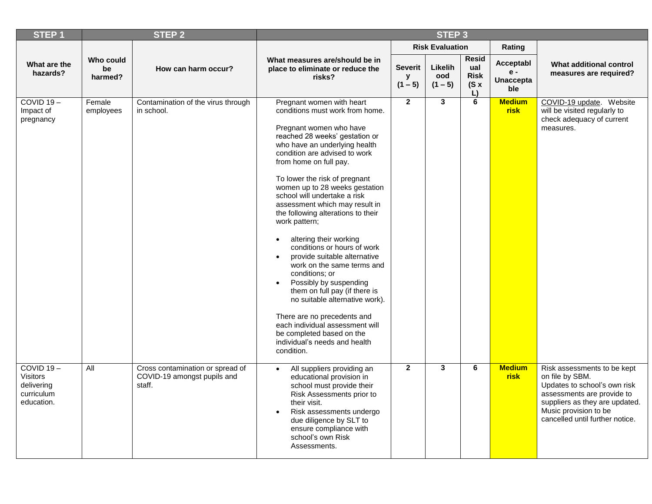| STEP <sub>1</sub>                                                         |                            | <b>STEP 2</b>                                                             | STEP <sub>3</sub>                                                                                                                                                                                                                                                                                                                                                                                                                                                                                                                                                                                                                                                                                                                                                                                                                            |                                                                                                                     |                        |                                               |                                                   |                                                                                                                                                                                                            |  |  |
|---------------------------------------------------------------------------|----------------------------|---------------------------------------------------------------------------|----------------------------------------------------------------------------------------------------------------------------------------------------------------------------------------------------------------------------------------------------------------------------------------------------------------------------------------------------------------------------------------------------------------------------------------------------------------------------------------------------------------------------------------------------------------------------------------------------------------------------------------------------------------------------------------------------------------------------------------------------------------------------------------------------------------------------------------------|---------------------------------------------------------------------------------------------------------------------|------------------------|-----------------------------------------------|---------------------------------------------------|------------------------------------------------------------------------------------------------------------------------------------------------------------------------------------------------------------|--|--|
|                                                                           |                            |                                                                           |                                                                                                                                                                                                                                                                                                                                                                                                                                                                                                                                                                                                                                                                                                                                                                                                                                              |                                                                                                                     | <b>Risk Evaluation</b> |                                               | Rating                                            |                                                                                                                                                                                                            |  |  |
| What are the<br>hazards?                                                  | Who could<br>be<br>harmed? | How can harm occur?                                                       | What measures are/should be in<br>place to eliminate or reduce the<br>risks?                                                                                                                                                                                                                                                                                                                                                                                                                                                                                                                                                                                                                                                                                                                                                                 | <b>Resid</b><br>Likelih<br><b>Severit</b><br>ual<br><b>Risk</b><br>ood<br>y<br>$(1 - 5)$<br>$(1 - 5)$<br>(Sx)<br>L) |                        | Acceptabl<br>$e -$<br><b>Unaccepta</b><br>ble | What additional control<br>measures are required? |                                                                                                                                                                                                            |  |  |
| COVID $19 -$<br>Impact of<br>pregnancy                                    | Female<br>employees        | Contamination of the virus through<br>in school.                          | Pregnant women with heart<br>conditions must work from home.<br>Pregnant women who have<br>reached 28 weeks' gestation or<br>who have an underlying health<br>condition are advised to work<br>from home on full pay.<br>To lower the risk of pregnant<br>women up to 28 weeks gestation<br>school will undertake a risk<br>assessment which may result in<br>the following alterations to their<br>work pattern;<br>altering their working<br>$\bullet$<br>conditions or hours of work<br>provide suitable alternative<br>$\bullet$<br>work on the same terms and<br>conditions: or<br>Possibly by suspending<br>$\bullet$<br>them on full pay (if there is<br>no suitable alternative work).<br>There are no precedents and<br>each individual assessment will<br>be completed based on the<br>individual's needs and health<br>condition. | $\overline{2}$                                                                                                      | $\mathbf{3}$           | 6                                             | <b>Medium</b><br><b>risk</b>                      | COVID-19 update. Website<br>will be visited regularly to<br>check adequacy of current<br>measures.                                                                                                         |  |  |
| $COVID 19 -$<br><b>Visitors</b><br>delivering<br>curriculum<br>education. | $\overline{All}$           | Cross contamination or spread of<br>COVID-19 amongst pupils and<br>staff. | All suppliers providing an<br>$\bullet$<br>educational provision in<br>school must provide their<br>Risk Assessments prior to<br>their visit.<br>Risk assessments undergo<br>$\bullet$<br>due diligence by SLT to<br>ensure compliance with<br>school's own Risk<br>Assessments.                                                                                                                                                                                                                                                                                                                                                                                                                                                                                                                                                             | $\overline{2}$                                                                                                      | $\mathbf{3}$           | 6                                             | <b>Medium</b><br><b>risk</b>                      | Risk assessments to be kept<br>on file by SBM.<br>Updates to school's own risk<br>assessments are provide to<br>suppliers as they are updated.<br>Music provision to be<br>cancelled until further notice. |  |  |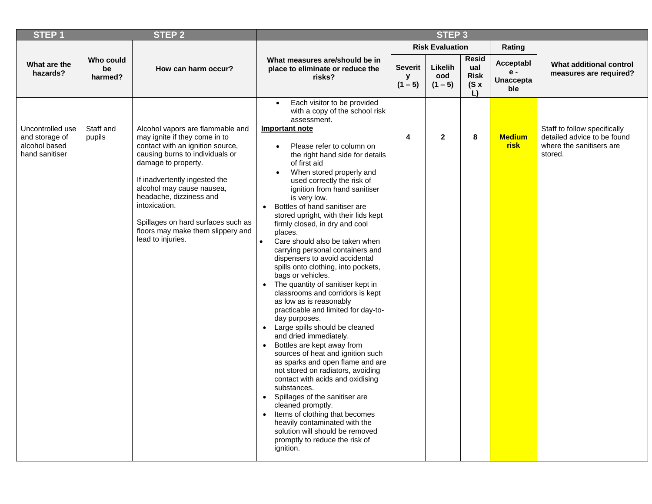| <b>STEP1</b>                                                          |                            | <b>STEP 2</b>                                                                                                                                                                                                                                                                                                                                                             | STEP <sub>3</sub>                                                                                                                                                                                                                                                                                                                                                                                                                                                                                                                                                                                                                                                                                                                                                                                                                                                                                                                                                                                                                                                                                                                                                                                      |                                  |                             |                                                         |                                             |                                                                                                    |
|-----------------------------------------------------------------------|----------------------------|---------------------------------------------------------------------------------------------------------------------------------------------------------------------------------------------------------------------------------------------------------------------------------------------------------------------------------------------------------------------------|--------------------------------------------------------------------------------------------------------------------------------------------------------------------------------------------------------------------------------------------------------------------------------------------------------------------------------------------------------------------------------------------------------------------------------------------------------------------------------------------------------------------------------------------------------------------------------------------------------------------------------------------------------------------------------------------------------------------------------------------------------------------------------------------------------------------------------------------------------------------------------------------------------------------------------------------------------------------------------------------------------------------------------------------------------------------------------------------------------------------------------------------------------------------------------------------------------|----------------------------------|-----------------------------|---------------------------------------------------------|---------------------------------------------|----------------------------------------------------------------------------------------------------|
|                                                                       |                            |                                                                                                                                                                                                                                                                                                                                                                           |                                                                                                                                                                                                                                                                                                                                                                                                                                                                                                                                                                                                                                                                                                                                                                                                                                                                                                                                                                                                                                                                                                                                                                                                        |                                  | <b>Risk Evaluation</b>      |                                                         | Rating                                      |                                                                                                    |
| What are the<br>hazards?                                              | Who could<br>be<br>harmed? | How can harm occur?                                                                                                                                                                                                                                                                                                                                                       | What measures are/should be in<br>place to eliminate or reduce the<br>risks?                                                                                                                                                                                                                                                                                                                                                                                                                                                                                                                                                                                                                                                                                                                                                                                                                                                                                                                                                                                                                                                                                                                           | <b>Severit</b><br>v<br>$(1 - 5)$ | Likelih<br>ood<br>$(1 - 5)$ | <b>Resid</b><br>ual<br><b>Risk</b><br>$(S \times$<br>L) | Acceptabl<br>e -<br><b>Unaccepta</b><br>ble | What additional control<br>measures are required?                                                  |
|                                                                       |                            |                                                                                                                                                                                                                                                                                                                                                                           | Each visitor to be provided<br>with a copy of the school risk<br>assessment.                                                                                                                                                                                                                                                                                                                                                                                                                                                                                                                                                                                                                                                                                                                                                                                                                                                                                                                                                                                                                                                                                                                           |                                  |                             |                                                         |                                             |                                                                                                    |
| Uncontrolled use<br>and storage of<br>alcohol based<br>hand sanitiser | Staff and<br>pupils        | Alcohol vapors are flammable and<br>may ignite if they come in to<br>contact with an ignition source,<br>causing burns to individuals or<br>damage to property.<br>If inadvertently ingested the<br>alcohol may cause nausea,<br>headache, dizziness and<br>intoxication.<br>Spillages on hard surfaces such as<br>floors may make them slippery and<br>lead to injuries. | Important note<br>Please refer to column on<br>the right hand side for details<br>of first aid<br>When stored properly and<br>used correctly the risk of<br>ignition from hand sanitiser<br>is very low.<br>Bottles of hand sanitiser are<br>$\bullet$<br>stored upright, with their lids kept<br>firmly closed, in dry and cool<br>places.<br>Care should also be taken when<br>carrying personal containers and<br>dispensers to avoid accidental<br>spills onto clothing, into pockets,<br>bags or vehicles.<br>The quantity of sanitiser kept in<br>$\bullet$<br>classrooms and corridors is kept<br>as low as is reasonably<br>practicable and limited for day-to-<br>day purposes.<br>Large spills should be cleaned<br>$\bullet$<br>and dried immediately.<br>Bottles are kept away from<br>$\bullet$<br>sources of heat and ignition such<br>as sparks and open flame and are<br>not stored on radiators, avoiding<br>contact with acids and oxidising<br>substances.<br>Spillages of the sanitiser are<br>cleaned promptly.<br>Items of clothing that becomes<br>$\bullet$<br>heavily contaminated with the<br>solution will should be removed<br>promptly to reduce the risk of<br>ignition. | 4                                | $\mathbf 2$                 | 8                                                       | <b>Medium</b><br><b>risk</b>                | Staff to follow specifically<br>detailed advice to be found<br>where the sanitisers are<br>stored. |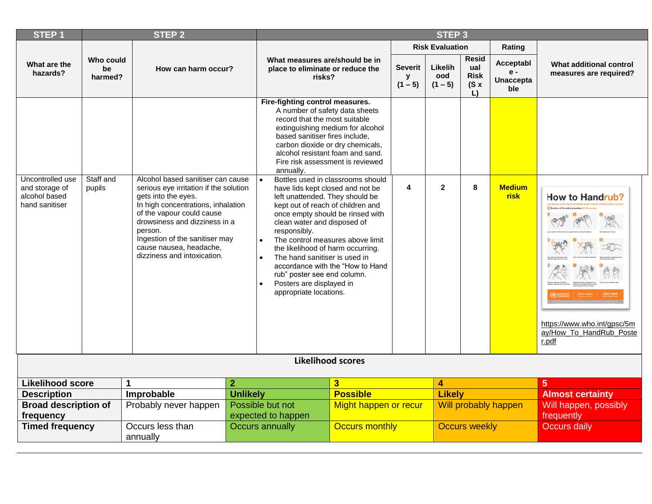| <b>STEP1</b>                                                          |                                                   | <b>STEP 2</b>                                                                                                                                                                                                                                                                                                 |                                                                              | STEP <sub>3</sub>                                                                                                                                                                                                                                                                                                                                                                                                                                                                                       |                                  |                             |                                           |                                               |                                                   |                                                                                    |
|-----------------------------------------------------------------------|---------------------------------------------------|---------------------------------------------------------------------------------------------------------------------------------------------------------------------------------------------------------------------------------------------------------------------------------------------------------------|------------------------------------------------------------------------------|---------------------------------------------------------------------------------------------------------------------------------------------------------------------------------------------------------------------------------------------------------------------------------------------------------------------------------------------------------------------------------------------------------------------------------------------------------------------------------------------------------|----------------------------------|-----------------------------|-------------------------------------------|-----------------------------------------------|---------------------------------------------------|------------------------------------------------------------------------------------|
|                                                                       |                                                   |                                                                                                                                                                                                                                                                                                               |                                                                              |                                                                                                                                                                                                                                                                                                                                                                                                                                                                                                         |                                  |                             | <b>Risk Evaluation</b>                    |                                               | Rating                                            |                                                                                    |
| What are the<br>hazards?                                              | Who could<br>be<br>How can harm occur?<br>harmed? |                                                                                                                                                                                                                                                                                                               | What measures are/should be in<br>place to eliminate or reduce the<br>risks? |                                                                                                                                                                                                                                                                                                                                                                                                                                                                                                         | <b>Severit</b><br>У<br>$(1 - 5)$ | Likelih<br>ood<br>$(1 - 5)$ | Resid<br>ual<br><b>Risk</b><br>(Sx)<br>L) | Acceptabl<br>$e -$<br><b>Unaccepta</b><br>ble | What additional control<br>measures are required? |                                                                                    |
|                                                                       |                                                   |                                                                                                                                                                                                                                                                                                               |                                                                              | Fire-fighting control measures.<br>A number of safety data sheets<br>record that the most suitable<br>based sanitiser fires include,<br>carbon dioxide or dry chemicals,<br>alcohol resistant foam and sand.<br>annually.                                                                                                                                                                                                                                                                               | extinguishing medium for alcohol |                             |                                           |                                               |                                                   |                                                                                    |
| Uncontrolled use<br>and storage of<br>alcohol based<br>hand sanitiser | Staff and<br>pupils                               | Alcohol based sanitiser can cause<br>serious eye irritation if the solution<br>gets into the eyes.<br>In high concentrations, inhalation<br>of the vapour could cause<br>drowsiness and dizziness in a<br>person.<br>Ingestion of the sanitiser may<br>cause nausea, headache,<br>dizziness and intoxication. |                                                                              | Fire risk assessment is reviewed<br>Bottles used in classrooms should<br>have lids kept closed and not be<br>left unattended. They should be<br>kept out of reach of children and<br>once empty should be rinsed with<br>clean water and disposed of<br>responsibly.<br>The control measures above limit<br>the likelihood of harm occurring.<br>The hand sanitiser is used in<br>accordance with the "How to Hand<br>rub" poster see end column.<br>Posters are displayed in<br>appropriate locations. |                                  | 4                           | $\mathbf{2}$                              | 8                                             | <b>Medium</b><br><b>risk</b>                      | How to Handrub?<br>https://www.who.int/gpsc/5m<br>ay/How_To_HandRub_Poste<br>r.pdf |
|                                                                       |                                                   |                                                                                                                                                                                                                                                                                                               |                                                                              | <b>Likelihood scores</b>                                                                                                                                                                                                                                                                                                                                                                                                                                                                                |                                  |                             |                                           |                                               |                                                   |                                                                                    |
| <b>Likelihood score</b>                                               |                                                   |                                                                                                                                                                                                                                                                                                               | $\mathbf{2}$                                                                 |                                                                                                                                                                                                                                                                                                                                                                                                                                                                                                         | 3                                |                             | 4                                         |                                               |                                                   | 5                                                                                  |
| <b>Description</b>                                                    |                                                   | Improbable                                                                                                                                                                                                                                                                                                    | <b>Unlikely</b>                                                              |                                                                                                                                                                                                                                                                                                                                                                                                                                                                                                         | <b>Possible</b>                  |                             | <b>Likely</b>                             |                                               |                                                   | <b>Almost certainty</b>                                                            |
| <b>Broad description of</b><br>frequency                              |                                                   | Probably never happen                                                                                                                                                                                                                                                                                         |                                                                              | Possible but not<br>expected to happen                                                                                                                                                                                                                                                                                                                                                                                                                                                                  | Might happen or recur            |                             |                                           |                                               | Will probably happen                              | Will happen, possibly<br>frequently                                                |
| <b>Timed frequency</b>                                                |                                                   | Occurs less than<br>annually                                                                                                                                                                                                                                                                                  |                                                                              | <b>Occurs annually</b>                                                                                                                                                                                                                                                                                                                                                                                                                                                                                  | <b>Occurs monthly</b>            | <b>Occurs weekly</b>        |                                           |                                               | <b>Occurs daily</b>                               |                                                                                    |